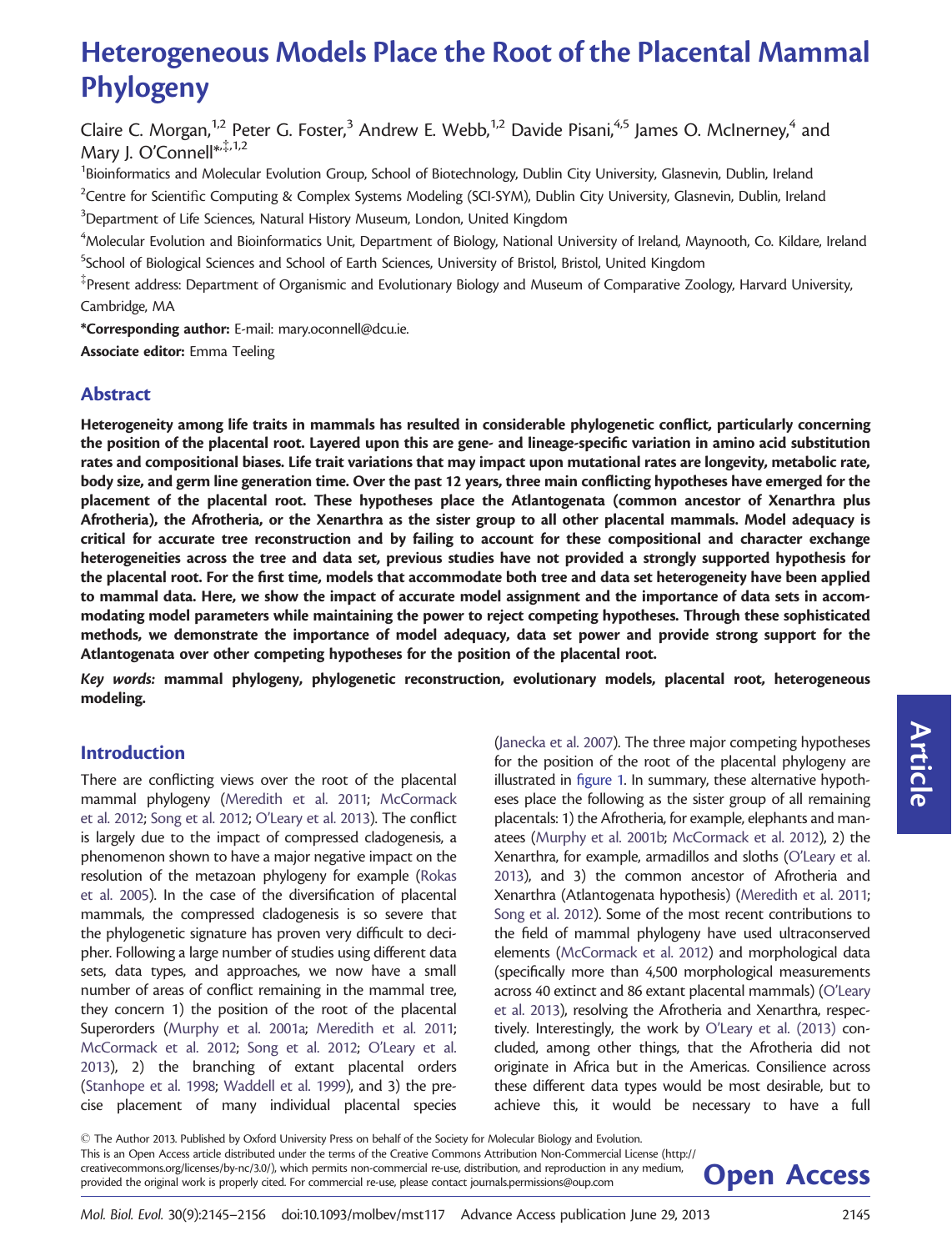# Heterogeneous Models Place the Root of the Placental Mammal Phylogeny

Claire C. Morgan,<sup>1,2</sup> Peter G. Foster,<sup>3</sup> Andrew E. Webb,<sup>1,2</sup> Davide Pisani,<sup>4,5</sup> James O. McInerney,<sup>4</sup> and Mary J. O'Connell\*, 1,2

<sup>1</sup>Bioinformatics and Molecular Evolution Group, School of Biotechnology, Dublin City University, Glasnevin, Dublin, Ireland  $^2$ Centre for Scientific Computing & Complex Systems Modeling (SCI-SYM), Dublin City University, Glasnevin, Dublin, Ireland  $^3$ Department of Life Sciences, Natural History Museum, London, United Kingdom

 $^4$ Molecular Evolution and Bioinformatics Unit, Department of Biology, National University of Ireland, Maynooth, Co. Kildare, Ireland <sup>5</sup>School of Biological Sciences and School of Earth Sciences, University of Bristol, Bristol, United Kingdom

 $^\ddag$ Present address: Department of Organismic and Evolutionary Biology and Museum of Comparative Zoology, Harvard University, Cambridge, MA

\*Corresponding author: E-mail: mary.oconnell@dcu.ie.

Associate editor: Emma Teeling

## Abstract

Heterogeneity among life traits in mammals has resulted in considerable phylogenetic conflict, particularly concerning the position of the placental root. Layered upon this are gene- and lineage-specific variation in amino acid substitution rates and compositional biases. Life trait variations that may impact upon mutational rates are longevity, metabolic rate, body size, and germ line generation time. Over the past 12 years, three main conflicting hypotheses have emerged for the placement of the placental root. These hypotheses place the Atlantogenata (common ancestor of Xenarthra plus Afrotheria), the Afrotheria, or the Xenarthra as the sister group to all other placental mammals. Model adequacy is critical for accurate tree reconstruction and by failing to account for these compositional and character exchange heterogeneities across the tree and data set, previous studies have not provided a strongly supported hypothesis for the placental root. For the first time, models that accommodate both tree and data set heterogeneity have been applied to mammal data. Here, we show the impact of accurate model assignment and the importance of data sets in accommodating model parameters while maintaining the power to reject competing hypotheses. Through these sophisticated methods, we demonstrate the importance of model adequacy, data set power and provide strong support for the Atlantogenata over other competing hypotheses for the position of the placental root.

Key words: mammal phylogeny, phylogenetic reconstruction, evolutionary models, placental root, heterogeneous modeling.

# Introduction

There are conflicting views over the root of the placental mammal phylogeny [\(Meredith et al. 2011;](#page-10-0) [McCormack](#page-10-0) [et al. 2012;](#page-10-0) [Song et al. 2012;](#page-11-0) [O'Leary et al. 2013](#page-11-0)). The conflict is largely due to the impact of compressed cladogenesis, a phenomenon shown to have a major negative impact on the resolution of the metazoan phylogeny for example [\(Rokas](#page-11-0) [et al. 2005](#page-11-0)). In the case of the diversification of placental mammals, the compressed cladogenesis is so severe that the phylogenetic signature has proven very difficult to decipher. Following a large number of studies using different data sets, data types, and approaches, we now have a small number of areas of conflict remaining in the mammal tree, they concern 1) the position of the root of the placental Superorders [\(Murphy et al. 2001a;](#page-10-0) [Meredith et al. 2011;](#page-10-0) [McCormack et al. 2012;](#page-10-0) [Song et al. 2012;](#page-11-0) [O'Leary et al.](#page-11-0) [2013\)](#page-11-0), 2) the branching of extant placental orders ([Stanhope et al. 1998;](#page-11-0) [Waddell et al. 1999](#page-11-0)), and 3) the precise placement of many individual placental species

[\(Janecka et al. 2007](#page-10-0)). The three major competing hypotheses for the position of the root of the placental phylogeny are illustrated in [figure 1](#page-1-0). In summary, these alternative hypotheses place the following as the sister group of all remaining placentals: 1) the Afrotheria, for example, elephants and manatees [\(Murphy et al. 2001b;](#page-10-0) [McCormack et al. 2012](#page-10-0)), 2) the Xenarthra, for example, armadillos and sloths [\(O'Leary et al.](#page-11-0) [2013\)](#page-11-0), and 3) the common ancestor of Afrotheria and Xenarthra (Atlantogenata hypothesis) [\(Meredith et al. 2011;](#page-10-0) [Song et al. 2012](#page-11-0)). Some of the most recent contributions to the field of mammal phylogeny have used ultraconserved elements [\(McCormack et al. 2012](#page-10-0)) and morphological data (specifically more than 4,500 morphological measurements across 40 extinct and 86 extant placental mammals) [\(O'Leary](#page-11-0) [et al. 2013](#page-11-0)), resolving the Afrotheria and Xenarthra, respectively. Interestingly, the work by [O'Leary et al. \(2013\)](#page-11-0) concluded, among other things, that the Afrotheria did not originate in Africa but in the Americas. Consilience across these different data types would be most desirable, but to achieve this, it would be necessary to have a full

 $\odot$  The Author 2013. Published by Oxford University Press on behalf of the Society for Molecular Biology and Evolution. This is an Open Access article distributed under the terms of the Creative Commons Attribution Non-Commercial License (http:// creativecommons.org/licenses/by-nc/3.0/), which permits non-commercial re-use, distribution, and reproduction in any medium, **Open Access**<br>provided the original work is properly cited. For commercial re-use, please contact

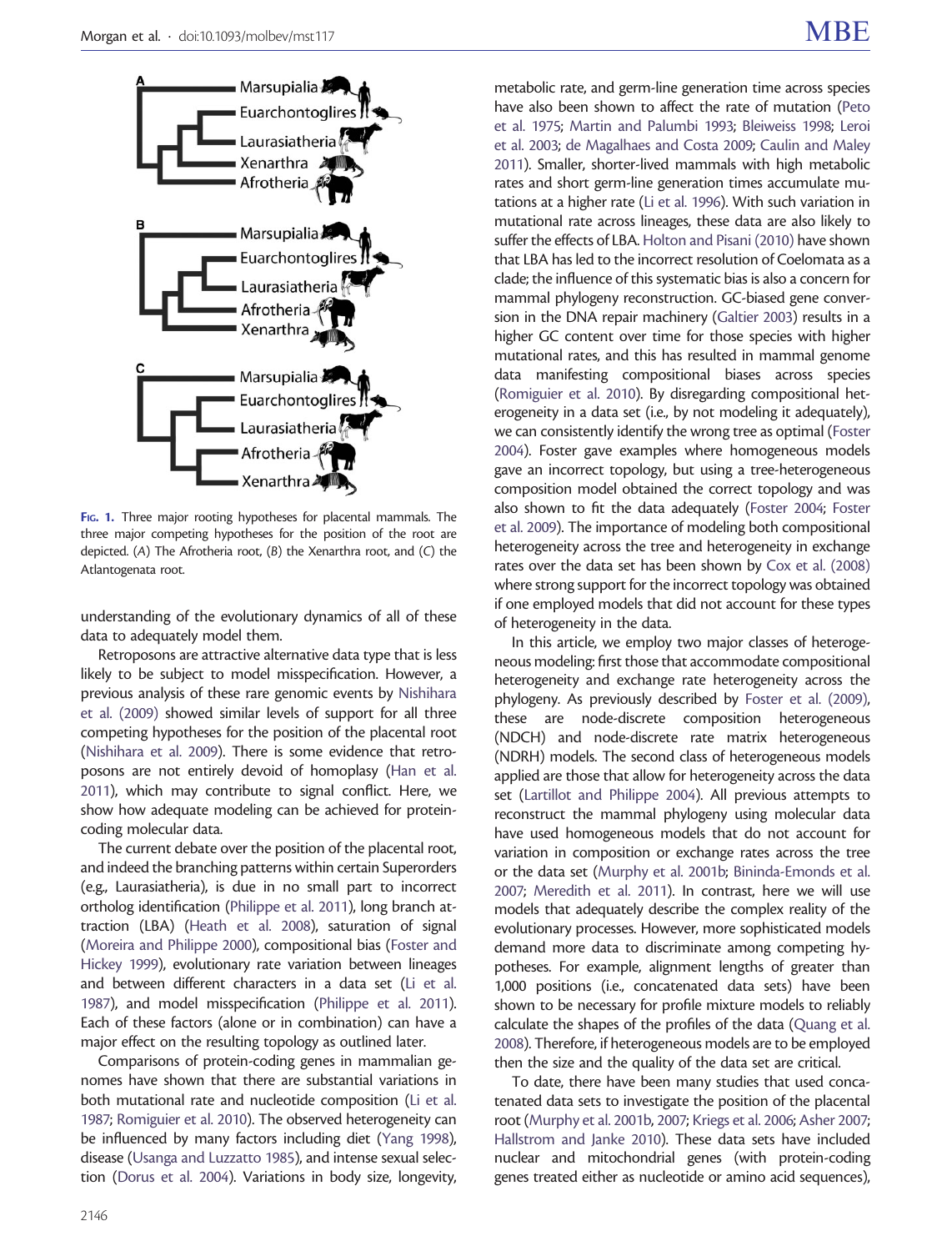<span id="page-1-0"></span>

FIG. 1. Three major rooting hypotheses for placental mammals. The three major competing hypotheses for the position of the root are depicted. (A) The Afrotheria root, (B) the Xenarthra root, and (C) the Atlantogenata root.

understanding of the evolutionary dynamics of all of these data to adequately model them.

Retroposons are attractive alternative data type that is less likely to be subject to model misspecification. However, a previous analysis of these rare genomic events by [Nishihara](#page-10-0) [et al. \(2009\)](#page-10-0) showed similar levels of support for all three competing hypotheses for the position of the placental root ([Nishihara et al. 2009](#page-10-0)). There is some evidence that retroposons are not entirely devoid of homoplasy [\(Han et al.](#page-10-0) [2011\)](#page-10-0), which may contribute to signal conflict. Here, we show how adequate modeling can be achieved for proteincoding molecular data.

The current debate over the position of the placental root, and indeed the branching patterns within certain Superorders (e.g., Laurasiatheria), is due in no small part to incorrect ortholog identification [\(Philippe et al. 2011\)](#page-11-0), long branch attraction (LBA) [\(Heath et al. 2008](#page-10-0)), saturation of signal ([Moreira and Philippe 2000](#page-10-0)), compositional bias [\(Foster and](#page-10-0) [Hickey 1999\)](#page-10-0), evolutionary rate variation between lineages and between different characters in a data set ([Li et al.](#page-10-0) [1987\)](#page-10-0), and model misspecification ([Philippe et al. 2011\)](#page-11-0). Each of these factors (alone or in combination) can have a major effect on the resulting topology as outlined later.

Comparisons of protein-coding genes in mammalian genomes have shown that there are substantial variations in both mutational rate and nucleotide composition [\(Li et al.](#page-10-0) [1987;](#page-10-0) [Romiguier et al. 2010](#page-11-0)). The observed heterogeneity can be influenced by many factors including diet [\(Yang 1998\)](#page-11-0), disease [\(Usanga and Luzzatto 1985](#page-11-0)), and intense sexual selection [\(Dorus et al. 2004\)](#page-10-0). Variations in body size, longevity,

metabolic rate, and germ-line generation time across species have also been shown to affect the rate of mutation [\(Peto](#page-11-0) [et al. 1975;](#page-11-0) [Martin and Palumbi 1993;](#page-10-0) [Bleiweiss 1998](#page-10-0); [Leroi](#page-10-0) [et al. 2003](#page-10-0); [de Magalhaes and Costa 2009;](#page-10-0) [Caulin and Maley](#page-10-0) [2011\)](#page-10-0). Smaller, shorter-lived mammals with high metabolic rates and short germ-line generation times accumulate mutations at a higher rate ([Li et al. 1996\)](#page-10-0). With such variation in mutational rate across lineages, these data are also likely to suffer the effects of LBA. [Holton and Pisani \(2010\)](#page-10-0) have shown that LBA has led to the incorrect resolution of Coelomata as a clade; the influence of this systematic bias is also a concern for mammal phylogeny reconstruction. GC-biased gene conversion in the DNA repair machinery ([Galtier 2003\)](#page-10-0) results in a higher GC content over time for those species with higher mutational rates, and this has resulted in mammal genome data manifesting compositional biases across species [\(Romiguier et al. 2010](#page-11-0)). By disregarding compositional heterogeneity in a data set (i.e., by not modeling it adequately), we can consistently identify the wrong tree as optimal [\(Foster](#page-10-0) [2004\)](#page-10-0). Foster gave examples where homogeneous models gave an incorrect topology, but using a tree-heterogeneous composition model obtained the correct topology and was also shown to fit the data adequately [\(Foster 2004](#page-10-0); [Foster](#page-10-0) [et al. 2009\)](#page-10-0). The importance of modeling both compositional heterogeneity across the tree and heterogeneity in exchange rates over the data set has been shown by [Cox et al. \(2008\)](#page-10-0) where strong support for the incorrect topology was obtained if one employed models that did not account for these types of heterogeneity in the data.

In this article, we employ two major classes of heterogeneous modeling: first those that accommodate compositional heterogeneity and exchange rate heterogeneity across the phylogeny. As previously described by [Foster et al. \(2009\),](#page-10-0) these are node-discrete composition heterogeneous (NDCH) and node-discrete rate matrix heterogeneous (NDRH) models. The second class of heterogeneous models applied are those that allow for heterogeneity across the data set [\(Lartillot and Philippe 2004](#page-10-0)). All previous attempts to reconstruct the mammal phylogeny using molecular data have used homogeneous models that do not account for variation in composition or exchange rates across the tree or the data set [\(Murphy et al. 2001b;](#page-10-0) [Bininda-Emonds et al.](#page-10-0) [2007;](#page-10-0) [Meredith et al. 2011](#page-10-0)). In contrast, here we will use models that adequately describe the complex reality of the evolutionary processes. However, more sophisticated models demand more data to discriminate among competing hypotheses. For example, alignment lengths of greater than 1,000 positions (i.e., concatenated data sets) have been shown to be necessary for profile mixture models to reliably calculate the shapes of the profiles of the data ([Quang et al.](#page-11-0) [2008\)](#page-11-0). Therefore, if heterogeneous models are to be employed then the size and the quality of the data set are critical.

To date, there have been many studies that used concatenated data sets to investigate the position of the placental root [\(Murphy et al. 2001b](#page-10-0), [2007;](#page-10-0) [Kriegs et al. 2006](#page-10-0); [Asher 2007;](#page-10-0) [Hallstrom and Janke 2010](#page-10-0)). These data sets have included nuclear and mitochondrial genes (with protein-coding genes treated either as nucleotide or amino acid sequences),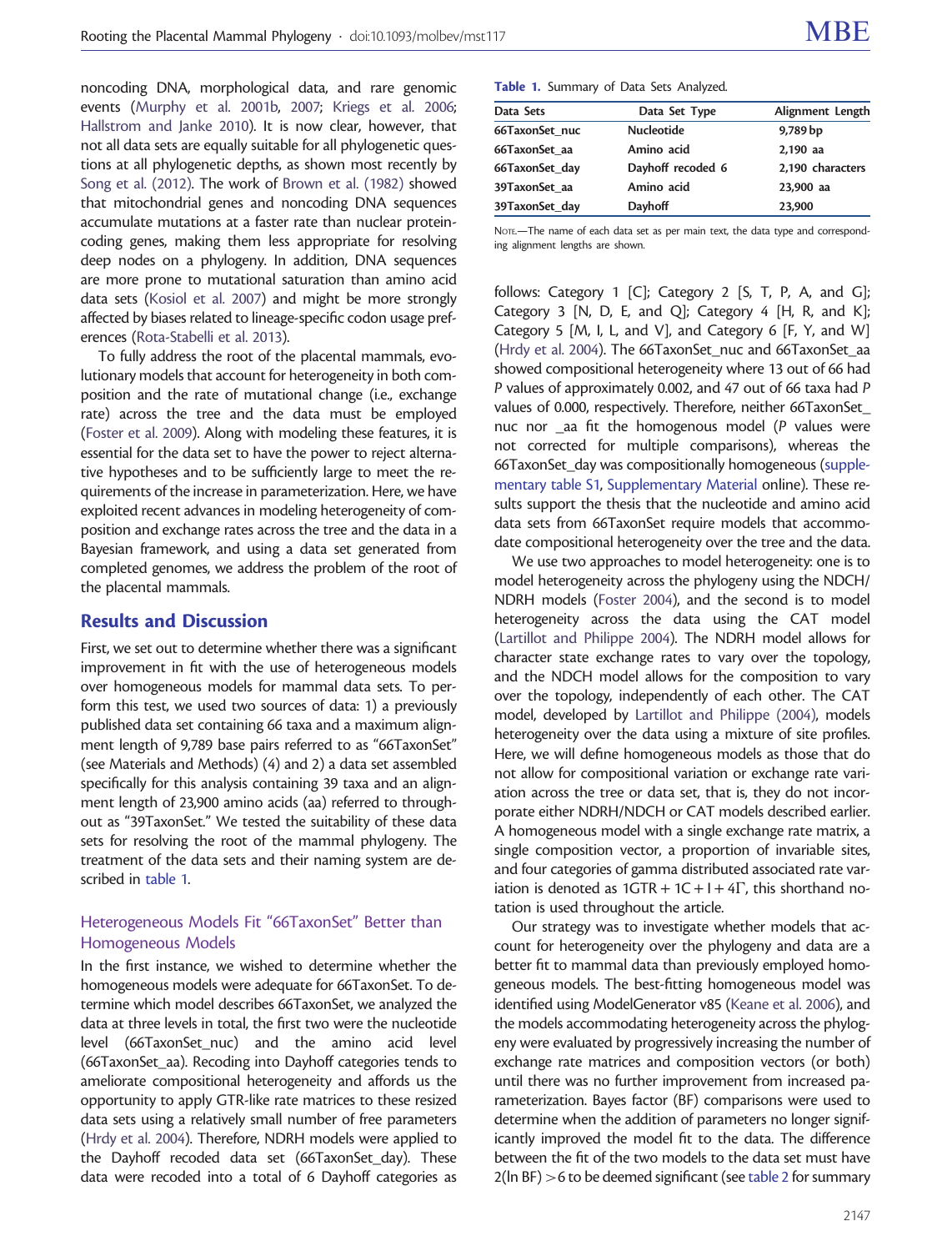noncoding DNA, morphological data, and rare genomic events ([Murphy et al. 2001b,](#page-10-0) [2007](#page-10-0); [Kriegs et al. 2006;](#page-10-0) [Hallstrom and Janke 2010\)](#page-10-0). It is now clear, however, that not all data sets are equally suitable for all phylogenetic questions at all phylogenetic depths, as shown most recently by [Song et al. \(2012\).](#page-11-0) The work of [Brown et al. \(1982\)](#page-10-0) showed that mitochondrial genes and noncoding DNA sequences accumulate mutations at a faster rate than nuclear proteincoding genes, making them less appropriate for resolving deep nodes on a phylogeny. In addition, DNA sequences are more prone to mutational saturation than amino acid data sets [\(Kosiol et al. 2007](#page-10-0)) and might be more strongly affected by biases related to lineage-specific codon usage preferences [\(Rota-Stabelli et al. 2013](#page-11-0)).

To fully address the root of the placental mammals, evolutionary models that account for heterogeneity in both composition and the rate of mutational change (i.e., exchange rate) across the tree and the data must be employed ([Foster et al. 2009](#page-10-0)). Along with modeling these features, it is essential for the data set to have the power to reject alternative hypotheses and to be sufficiently large to meet the requirements of the increase in parameterization. Here, we have exploited recent advances in modeling heterogeneity of composition and exchange rates across the tree and the data in a Bayesian framework, and using a data set generated from completed genomes, we address the problem of the root of the placental mammals.

## Results and Discussion

First, we set out to determine whether there was a significant improvement in fit with the use of heterogeneous models over homogeneous models for mammal data sets. To perform this test, we used two sources of data: 1) a previously published data set containing 66 taxa and a maximum alignment length of 9,789 base pairs referred to as "66TaxonSet" (see Materials and Methods) (4) and 2) a data set assembled specifically for this analysis containing 39 taxa and an alignment length of 23,900 amino acids (aa) referred to throughout as "39TaxonSet." We tested the suitability of these data sets for resolving the root of the mammal phylogeny. The treatment of the data sets and their naming system are described in table 1.

## Heterogeneous Models Fit "66TaxonSet" Better than Homogeneous Models

In the first instance, we wished to determine whether the homogeneous models were adequate for 66TaxonSet. To determine which model describes 66TaxonSet, we analyzed the data at three levels in total, the first two were the nucleotide level (66TaxonSet\_nuc) and the amino acid level (66TaxonSet\_aa). Recoding into Dayhoff categories tends to ameliorate compositional heterogeneity and affords us the opportunity to apply GTR-like rate matrices to these resized data sets using a relatively small number of free parameters ([Hrdy et al. 2004\)](#page-10-0). Therefore, NDRH models were applied to the Dayhoff recoded data set (66TaxonSet day). These data were recoded into a total of 6 Dayhoff categories as

Table 1. Summary of Data Sets Analyzed.

| Data Sets      | Data Set Type     | Alignment Length |
|----------------|-------------------|------------------|
| 66TaxonSet nuc | <b>Nucleotide</b> | 9,789 bp         |
| 66TaxonSet aa  | Amino acid        | 2,190 aa         |
| 66TaxonSet day | Dayhoff recoded 6 | 2,190 characters |
| 39TaxonSet aa  | Amino acid        | 23,900 aa        |
| 39TaxonSet_day | Dayhoff           | 23,900           |

NOTE.-The name of each data set as per main text, the data type and corresponding alignment lengths are shown.

follows: Category 1 [C]; Category 2 [S, T, P, A, and G]; Category 3  $[N, D, E, and Q]$ ; Category 4  $[H, R, and K]$ ; Category 5 [M, I, L, and V], and Category 6 [F, Y, and W] [\(Hrdy et al. 2004](#page-10-0)). The 66TaxonSet nuc and 66TaxonSet aa showed compositional heterogeneity where 13 out of 66 had P values of approximately 0.002, and 47 out of 66 taxa had P values of 0.000, respectively. Therefore, neither 66TaxonSet\_ nuc nor \_aa fit the homogenous model (P values were not corrected for multiple comparisons), whereas the 66TaxonSet day was compositionally homogeneous [\(supple](http://mbe.oxfordjournals.org/lookup/suppl/doi:10.1093/molbev/mst117/-/DC1)[mentary table S1](http://mbe.oxfordjournals.org/lookup/suppl/doi:10.1093/molbev/mst117/-/DC1), [Supplementary Material](http://mbe.oxfordjournals.org/lookup/suppl/doi:10.1093/molbev/mst117/-/DC1) online). These results support the thesis that the nucleotide and amino acid data sets from 66TaxonSet require models that accommodate compositional heterogeneity over the tree and the data.

We use two approaches to model heterogeneity: one is to model heterogeneity across the phylogeny using the NDCH/ NDRH models [\(Foster 2004\)](#page-10-0), and the second is to model heterogeneity across the data using the CAT model [\(Lartillot and Philippe 2004](#page-10-0)). The NDRH model allows for character state exchange rates to vary over the topology, and the NDCH model allows for the composition to vary over the topology, independently of each other. The CAT model, developed by [Lartillot and Philippe \(2004\)](#page-10-0), models heterogeneity over the data using a mixture of site profiles. Here, we will define homogeneous models as those that do not allow for compositional variation or exchange rate variation across the tree or data set, that is, they do not incorporate either NDRH/NDCH or CAT models described earlier. A homogeneous model with a single exchange rate matrix, a single composition vector, a proportion of invariable sites, and four categories of gamma distributed associated rate variation is denoted as  $1GTR + 1C + I + 4\Gamma$ , this shorthand notation is used throughout the article.

Our strategy was to investigate whether models that account for heterogeneity over the phylogeny and data are a better fit to mammal data than previously employed homogeneous models. The best-fitting homogeneous model was identified using ModelGenerator v85 [\(Keane et al. 2006](#page-10-0)), and the models accommodating heterogeneity across the phylogeny were evaluated by progressively increasing the number of exchange rate matrices and composition vectors (or both) until there was no further improvement from increased parameterization. Bayes factor (BF) comparisons were used to determine when the addition of parameters no longer significantly improved the model fit to the data. The difference between the fit of the two models to the data set must have 2(ln BF) >6 to be deemed significant (see [table 2](#page-3-0) for summary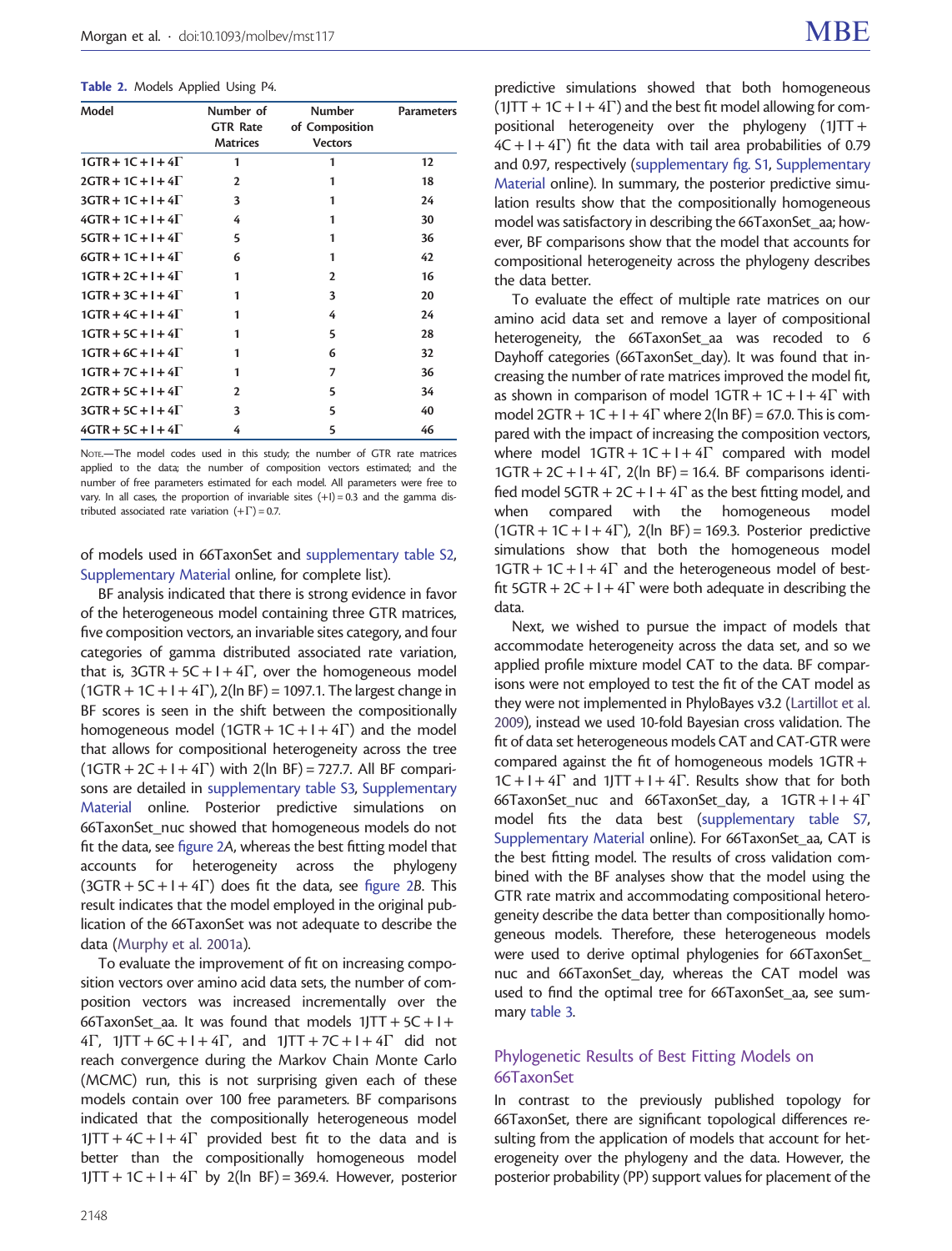<span id="page-3-0"></span>Table 2. Models Applied Using P4.

| Model                     | Number of       | <b>Number</b>  | <b>Parameters</b> |
|---------------------------|-----------------|----------------|-------------------|
|                           | <b>GTR Rate</b> | of Composition |                   |
|                           | <b>Matrices</b> | <b>Vectors</b> |                   |
| $1GTR + 1C + 1 + 4\Gamma$ | 1               | 1              | 12                |
| $2GTR + 1C + 1 + 4\Gamma$ | 2               | 1              | 18                |
| $3GTR + 1C + 1 + 4\Gamma$ | 3               | 1              | 24                |
| $4GTR + 1C + 1 + 4\Gamma$ | 4               | 1              | 30                |
| $5GTR + 1C + 1 + 4\Gamma$ | 5               | 1              | 36                |
| $6GTR + 1C + 1 + 4\Gamma$ | 6               | 1              | 42                |
| $1GTR + 2C + 1 + 4\Gamma$ | 1               | 2              | 16                |
| $1GTR + 3C + 1 + 4\Gamma$ | 1               | 3              | 20                |
| $1GTR + 4C + 1 + 4\Gamma$ |                 | 4              | 24                |
| $1GTR + 5C + 1 + 4\Gamma$ |                 | 5              | 28                |
| $1GTR + 6C + 1 + 4\Gamma$ |                 | 6              | 32                |
| $1GTR + 7C + 1 + 4\Gamma$ | 1               | 7              | 36                |
| $2GTR + 5C + 1 + 4\Gamma$ | $\mathbf{2}$    | 5              | 34                |
| $3GTR + 5C + 1 + 4\Gamma$ | 3               | 5              | 40                |
| $4GTR + 5C + 1 + 4\Gamma$ | 4               | 5              | 46                |

NOTE.—The model codes used in this study; the number of GTR rate matrices applied to the data; the number of composition vectors estimated; and the number of free parameters estimated for each model. All parameters were free to vary. In all cases, the proportion of invariable sites  $(+1) = 0.3$  and the gamma distributed associated rate variation  $(+\Gamma)$  = 0.7.

of models used in 66TaxonSet and [supplementary table S2,](http://mbe.oxfordjournals.org/lookup/suppl/doi:10.1093/molbev/mst117/-/DC1) [Supplementary Material](http://mbe.oxfordjournals.org/lookup/suppl/doi:10.1093/molbev/mst117/-/DC1) online, for complete list).

BF analysis indicated that there is strong evidence in favor of the heterogeneous model containing three GTR matrices, five composition vectors, an invariable sites category, and four categories of gamma distributed associated rate variation, that is,  $3GTR + 5C + I + 4\Gamma$ , over the homogeneous model  $(1GTR + 1C + I + 4\Gamma)$ , 2(ln BF) = 1097.1. The largest change in BF scores is seen in the shift between the compositionally homogeneous model (1GTR + 1C + I +  $4\Gamma$ ) and the model that allows for compositional heterogeneity across the tree  $(1GTR + 2C + I + 4\Gamma)$  with  $2(ln BF) = 727.7$ . All BF comparisons are detailed in [supplementary table S3](http://mbe.oxfordjournals.org/lookup/suppl/doi:10.1093/molbev/mst117/-/DC1), [Supplementary](http://mbe.oxfordjournals.org/lookup/suppl/doi:10.1093/molbev/mst117/-/DC1) [Material](http://mbe.oxfordjournals.org/lookup/suppl/doi:10.1093/molbev/mst117/-/DC1) online. Posterior predictive simulations on 66TaxonSet\_nuc showed that homogeneous models do not fit the data, see [figure 2](#page-4-0)A, whereas the best fitting model that accounts for heterogeneity across the phylogeny  $(3GTR + 5C + I + 4\Gamma)$  does fit the data, see [figure 2](#page-4-0)B. This result indicates that the model employed in the original publication of the 66TaxonSet was not adequate to describe the data ([Murphy et al. 2001a\)](#page-10-0).

To evaluate the improvement of fit on increasing composition vectors over amino acid data sets, the number of composition vectors was increased incrementally over the 66TaxonSet aa. It was found that models  $1JTT + 5C + I+$  $4\Gamma$ ,  $1JTT + 6C + I + 4\Gamma$ , and  $1JTT + 7C + I + 4\Gamma$  did not reach convergence during the Markov Chain Monte Carlo (MCMC) run, this is not surprising given each of these models contain over 100 free parameters. BF comparisons indicated that the compositionally heterogeneous model  $1JTT + 4C + I + 4\Gamma$  provided best fit to the data and is better than the compositionally homogeneous model  $1JTT + 1C + I + 4\Gamma$  by 2(ln BF) = 369.4. However, posterior

predictive simulations showed that both homogeneous  $(1)TT + 1C + I + 4\Gamma$ ) and the best fit model allowing for compositional heterogeneity over the phylogeny  $(1)TT+$  $4C + I + 4\Gamma$ ) fit the data with tail area probabilities of 0.79 and 0.97, respectively ([supplementary fig. S1](http://mbe.oxfordjournals.org/lookup/suppl/doi:10.1093/molbev/mst117/-/DC1), [Supplementary](http://mbe.oxfordjournals.org/lookup/suppl/doi:10.1093/molbev/mst117/-/DC1) [Material](http://mbe.oxfordjournals.org/lookup/suppl/doi:10.1093/molbev/mst117/-/DC1) online). In summary, the posterior predictive simulation results show that the compositionally homogeneous model was satisfactory in describing the 66TaxonSet\_aa; however, BF comparisons show that the model that accounts for compositional heterogeneity across the phylogeny describes the data better.

To evaluate the effect of multiple rate matrices on our amino acid data set and remove a layer of compositional heterogeneity, the 66TaxonSet aa was recoded to 6 Dayhoff categories (66TaxonSet\_day). It was found that increasing the number of rate matrices improved the model fit, as shown in comparison of model  $1GTR + 1C + I + 4\Gamma$  with model 2GTR +  $1C + I + 4\Gamma$  where 2(ln BF) = 67.0. This is compared with the impact of increasing the composition vectors, where model  $1GTR + 1C + I + 4\Gamma$  compared with model  $1GTR + 2C + I + 4\Gamma$ ,  $2(\ln BF) = 16.4$ . BF comparisons identified model  $5GTR + 2C + I + 4\Gamma$  as the best fitting model, and when compared with the homogeneous model  $(1GTR + 1C + I + 4\Gamma)$ , 2(ln BF) = 169.3. Posterior predictive simulations show that both the homogeneous model  $1GTR + 1C + I + 4\Gamma$  and the heterogeneous model of bestfit  $5GTR + 2C + I + 4\Gamma$  were both adequate in describing the data.

Next, we wished to pursue the impact of models that accommodate heterogeneity across the data set, and so we applied profile mixture model CAT to the data. BF comparisons were not employed to test the fit of the CAT model as they were not implemented in PhyloBayes v3.2 ([Lartillot et al.](#page-10-0) [2009\)](#page-10-0), instead we used 10-fold Bayesian cross validation. The fit of data set heterogeneous models CAT and CAT-GTR were compared against the fit of homogeneous models 1GTR+  $1C + I + 4\Gamma$  and  $1JTT + I + 4\Gamma$ . Results show that for both 66TaxonSet\_nuc and 66TaxonSet\_day, a  $1GTR + I + 4\Gamma$ model fits the data best [\(supplementary table S7,](http://mbe.oxfordjournals.org/lookup/suppl/doi:10.1093/molbev/mst117/-/DC1) [Supplementary Material](http://mbe.oxfordjournals.org/lookup/suppl/doi:10.1093/molbev/mst117/-/DC1) online). For 66TaxonSet aa, CAT is the best fitting model. The results of cross validation combined with the BF analyses show that the model using the GTR rate matrix and accommodating compositional heterogeneity describe the data better than compositionally homogeneous models. Therefore, these heterogeneous models were used to derive optimal phylogenies for 66TaxonSet\_ nuc and 66TaxonSet\_day, whereas the CAT model was used to find the optimal tree for 66TaxonSet\_aa, see summary [table 3](#page-5-0).

## Phylogenetic Results of Best Fitting Models on 66TaxonSet

In contrast to the previously published topology for 66TaxonSet, there are significant topological differences resulting from the application of models that account for heterogeneity over the phylogeny and the data. However, the posterior probability (PP) support values for placement of the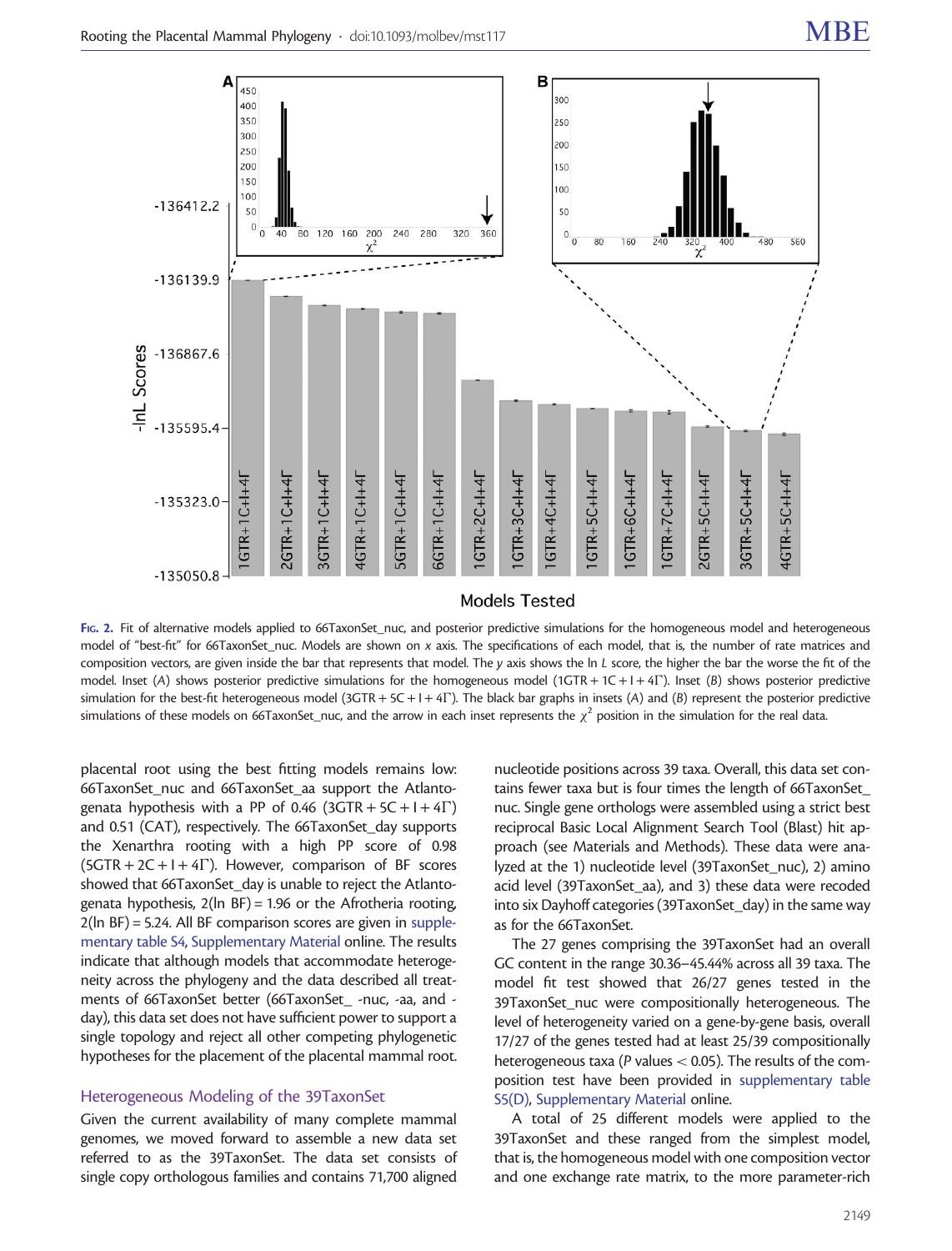<span id="page-4-0"></span>

FIG. 2. Fit of alternative models applied to 66TaxonSet\_nuc, and posterior predictive simulations for the homogeneous model and heterogeneous model of "best-fit" for 66TaxonSet\_nuc. Models are shown on x axis. The specifications of each model, that is, the number of rate matrices and composition vectors, are given inside the bar that represents that model. The y axis shows the ln L score, the higher the bar the worse the fit of the model. Inset (A) shows posterior predictive simulations for the homogeneous model (1GTR + 1C + I + 4 $\Gamma$ ). Inset (B) shows posterior predictive simulation for the best-fit heterogeneous model (3GTR + 5C + I + 4F). The black bar graphs in insets (A) and (B) represent the posterior predictive simulations of these models on 66TaxonSet\_nuc, and the arrow in each inset represents the  $\chi^2$  position in the simulation for the real data.

placental root using the best fitting models remains low: 66TaxonSet\_nuc and 66TaxonSet\_aa support the Atlantogenata hypothesis with a PP of 0.46 (3GTR + 5C + I + 4 $\Gamma$ ) and 0.51 (CAT), respectively. The 66TaxonSet\_day supports the Xenarthra rooting with a high PP score of 0.98  $(5GTR + 2C + I + 4\Gamma)$ . However, comparison of BF scores showed that 66TaxonSet day is unable to reject the Atlantogenata hypothesis,  $2(ln BF) = 1.96$  or the Afrotheria rooting, 2(ln BF) = 5.24. All BF comparison scores are given in [supple](http://mbe.oxfordjournals.org/lookup/suppl/doi:10.1093/molbev/mst117/-/DC1)[mentary table S4,](http://mbe.oxfordjournals.org/lookup/suppl/doi:10.1093/molbev/mst117/-/DC1) [Supplementary Material](http://mbe.oxfordjournals.org/lookup/suppl/doi:10.1093/molbev/mst117/-/DC1) online. The results indicate that although models that accommodate heterogeneity across the phylogeny and the data described all treatments of 66TaxonSet better (66TaxonSet -nuc, -aa, and day), this data set does not have sufficient power to support a single topology and reject all other competing phylogenetic hypotheses for the placement of the placental mammal root.

#### Heterogeneous Modeling of the 39TaxonSet

Given the current availability of many complete mammal genomes, we moved forward to assemble a new data set referred to as the 39TaxonSet. The data set consists of single copy orthologous families and contains 71,700 aligned

nucleotide positions across 39 taxa. Overall, this data set contains fewer taxa but is four times the length of 66TaxonSet\_ nuc. Single gene orthologs were assembled using a strict best reciprocal Basic Local Alignment Search Tool (Blast) hit approach (see Materials and Methods). These data were analyzed at the 1) nucleotide level (39TaxonSet\_nuc), 2) amino acid level (39TaxonSet\_aa), and 3) these data were recoded into six Dayhoff categories (39TaxonSet\_day) in the same way as for the 66TaxonSet.

The 27 genes comprising the 39TaxonSet had an overall GC content in the range 30.36–45.44% across all 39 taxa. The model fit test showed that 26/27 genes tested in the 39TaxonSet\_nuc were compositionally heterogeneous. The level of heterogeneity varied on a gene-by-gene basis, overall 17/27 of the genes tested had at least 25/39 compositionally heterogeneous taxa ( $P$  values  $<$  0.05). The results of the composition test have been provided in [supplementary table](http://mbe.oxfordjournals.org/lookup/suppl/doi:10.1093/molbev/mst117/-/DC1) [S5\(D\)](http://mbe.oxfordjournals.org/lookup/suppl/doi:10.1093/molbev/mst117/-/DC1), [Supplementary Material](http://mbe.oxfordjournals.org/lookup/suppl/doi:10.1093/molbev/mst117/-/DC1) online.

A total of 25 different models were applied to the 39TaxonSet and these ranged from the simplest model, that is, the homogeneous model with one composition vector and one exchange rate matrix, to the more parameter-rich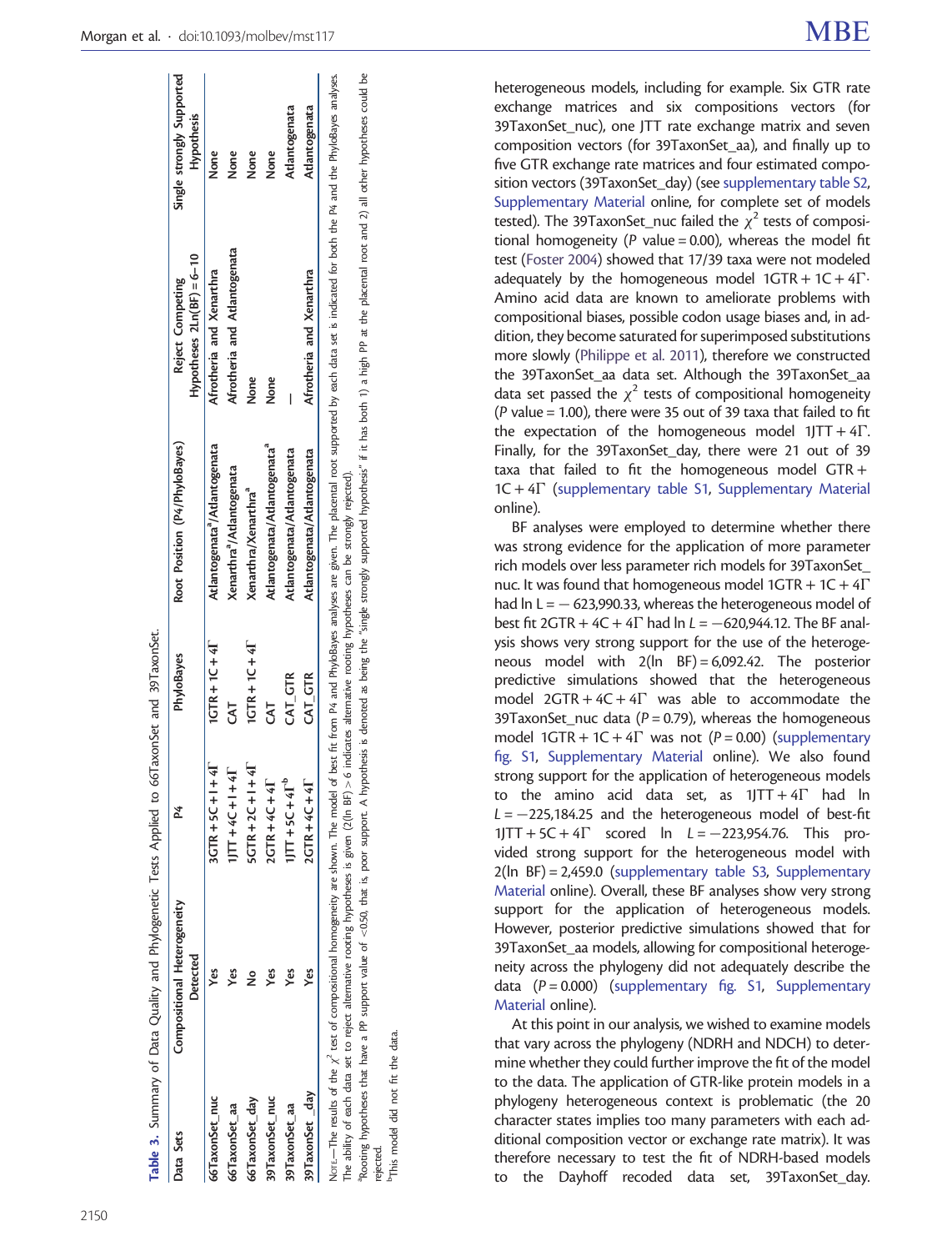<span id="page-5-0"></span>

| Data Sets       | Compositional Heterogeneity<br>Detected |                                 | PhyloBayes                          | Root Position (P4/PhyloBayes)             | $Hypotness$ 2Ln(BF) = 6-10<br>Reject Competing | Single strongly Supported<br><b>Hypothesis</b> |
|-----------------|-----------------------------------------|---------------------------------|-------------------------------------|-------------------------------------------|------------------------------------------------|------------------------------------------------|
| 66TaxonSet_nuc  | ۴                                       | $3GTR + 5C + 1 + 4I$            | $1$ <b>CTR</b> + $1$ <b>C</b> + $4$ | Atlantogenata <sup>*</sup> /Atlantogenata | Afrotheria and Xenarthra                       | None                                           |
| 66TaxonSet aa   | yes                                     | $\mathbf{1}$<br>$11 + 20 + 111$ | 3                                   | Xenarthra <sup>ª</sup> /Atlantogenata     | Afrotheria and Atlantogenata                   | None                                           |
| 66TaxonSet day  |                                         | $5CTR + 2C + 1 + 4I$            | $1$ CTR + $1$ C + $4$ <sup>T</sup>  | Xenarthra/Xenarthra <sup>ª</sup>          | None                                           | None                                           |
| 39TaxonSet_nuc  | yes                                     | $2CTR + 4C + 4I$                | 5                                   | Atlantogenata/Atlantogenata <sup>ª</sup>  | None                                           | None                                           |
| 39TaxonSet_aa   | Yes                                     | $1/T + 5C + 4Tb$                | CAT GTR                             | Atlantogenata/Atlantogenata               |                                                | Atlantogenata                                  |
| 39TaxonSet _day | Yes                                     | $2CTR + 4C + 4$                 | $CAT$ _ $GTR$                       | Atlantogenata/Atlantogenata               | Afrotheria and Xenarthra                       | Atlantogenata                                  |

്ട് The ability of each data set to reject alternative rooting hypotheses is given (2(In BF)> 6 indicates alternative rooting hypotheses can be strongly rejected).<br>"Rooting hypotheses that have a PP support value of <0.50, tha Phooting hypotheses that have a PP support value of <0.50, that is, poor support. A hypothesis is denoted as being the "single strongly supported hypothesis" if it has both 1) a high PP at the placental root and 2) all oth  $BF$ ) > 6 indicates alternative rooting hypotheses can be strongly rejected). rejected.

bThis model did not fit the data. data the ιť not  $\ddot{a}$ model o <sup>b</sup>This r

heterogeneous models, including for example. Six GTR rate exchange matrices and six compositions vectors (for 39TaxonSet\_nuc), one JTT rate exchange matrix and seven composition vectors (for 39TaxonSet\_aa), and finally up to five GTR exchange rate matrices and four estimated composition vectors (39TaxonSet\_day) (see [supplementary table S2,](http://mbe.oxfordjournals.org/lookup/suppl/doi:10.1093/molbev/mst117/-/DC1) [Supplementary Material](http://mbe.oxfordjournals.org/lookup/suppl/doi:10.1093/molbev/mst117/-/DC1) online, for complete set of models tested). The 39TaxonSet\_nuc failed the  $\chi^2$  tests of compositional homogeneity ( $P$  value = 0.00), whereas the model fit test [\(Foster 2004\)](#page-10-0) showed that 17/39 taxa were not modeled adequately by the homogeneous model  $1GTR + 1C + 4\Gamma$ Amino acid data are known to ameliorate problems with compositional biases, possible codon usage biases and, in addition, they become saturated for superimposed substitutions more slowly [\(Philippe et al. 2011](#page-11-0)), therefore we constructed the 39TaxonSet\_aa data set. Although the 39TaxonSet\_aa data set passed the  $\chi^2$  tests of compositional homogeneity (P value = 1.00), there were 35 out of 39 taxa that failed to fit the expectation of the homogeneous model  $1JTT+4\Gamma$ . . Finally, for the 39TaxonSet day, there were 21 out of 39 taxa that failed to fit the homogeneous model GTR+  $1C + 4\Gamma$  [\(supplementary table S1](http://mbe.oxfordjournals.org/lookup/suppl/doi:10.1093/molbev/mst117/-/DC1), [Supplementary Material](http://mbe.oxfordjournals.org/lookup/suppl/doi:10.1093/molbev/mst117/-/DC1) online).

BF analyses were employed to determine whether there was strong evidence for the application of more parameter rich models over less parameter rich models for 39TaxonSet\_ nuc. It was found that homogeneous model  $1GTR + 1C + 4\Gamma$ had  $\ln L = -623,990.33$ , whereas the heterogeneous model of best fit  $2GTR + 4C + 4\Gamma$  had  $\ln L = -620,944.12$ . The BF analysis shows very strong support for the use of the heterogeneous model with  $2(ln$  BF $) = 6,092.42$ . The posterior predictive simulations showed that the heterogeneous model  $2GTR + 4C + 4\Gamma$  was able to accommodate the 39TaxonSet\_nuc data ( $P = 0.79$ ), whereas the homogeneous model 1GTR + 1C + 4 $\Gamma$  was not (P = 0.00) [\(supplementary](http://mbe.oxfordjournals.org/lookup/suppl/doi:10.1093/molbev/mst117/-/DC1) [fig. S1](http://mbe.oxfordjournals.org/lookup/suppl/doi:10.1093/molbev/mst117/-/DC1), [Supplementary Material](http://mbe.oxfordjournals.org/lookup/suppl/doi:10.1093/molbev/mst117/-/DC1) online). We also found strong support for the application of heterogeneous models to the amino acid data set, as  $1JTT + 4\Gamma$  had ln  $L = -225,184.25$  and the heterogeneous model of best-fit  $1$ JTT + 5C + 4 $\Gamma$  scored ln  $L = -223,954.76$ . This provided strong support for the heterogeneous model with 2(ln BF) = 2,459.0 ([supplementary table S3,](http://mbe.oxfordjournals.org/lookup/suppl/doi:10.1093/molbev/mst117/-/DC1) [Supplementary](http://mbe.oxfordjournals.org/lookup/suppl/doi:10.1093/molbev/mst117/-/DC1) [Material](http://mbe.oxfordjournals.org/lookup/suppl/doi:10.1093/molbev/mst117/-/DC1) online). Overall, these BF analyses show very strong support for the application of heterogeneous models. However, posterior predictive simulations showed that for 39TaxonSet\_aa models, allowing for compositional heterogeneity across the phylogeny did not adequately describe the data  $(P = 0.000)$  [\(supplementary fig. S1,](http://mbe.oxfordjournals.org/lookup/suppl/doi:10.1093/molbev/mst117/-/DC1) [Supplementary](http://mbe.oxfordjournals.org/lookup/suppl/doi:10.1093/molbev/mst117/-/DC1) [Material](http://mbe.oxfordjournals.org/lookup/suppl/doi:10.1093/molbev/mst117/-/DC1) online).

At this point in our analysis, we wished to examine models that vary across the phylogeny (NDRH and NDCH) to determine whether they could further improve the fit of the model to the data. The application of GTR-like protein models in a phylogeny heterogeneous context is problematic (the 20 character states implies too many parameters with each additional composition vector or exchange rate matrix). It was therefore necessary to test the fit of NDRH-based models to the Dayhoff recoded data set, 39TaxonSet\_day.

 $\overline{c}$ 

 $\epsilon$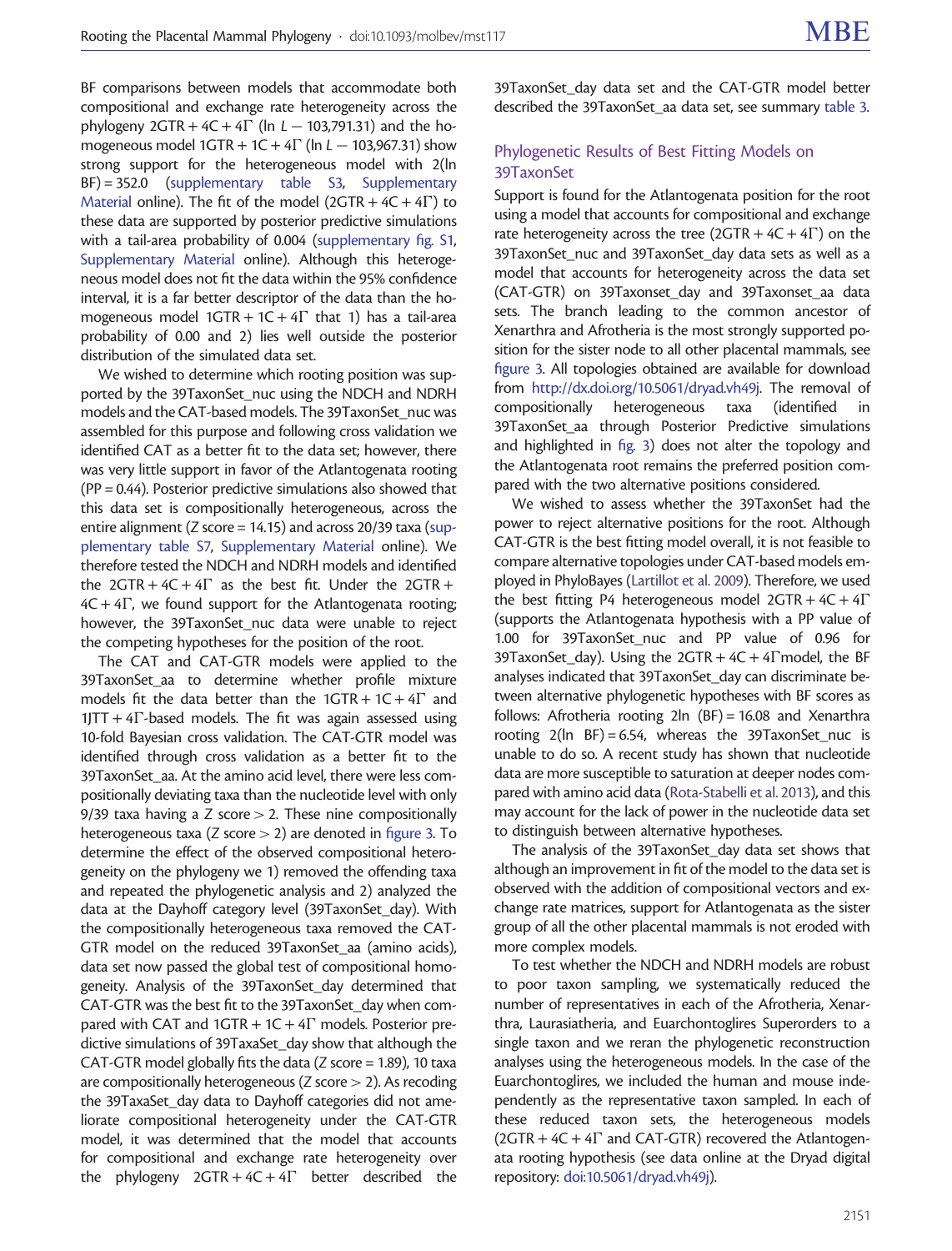BF comparisons between models that accommodate both compositional and exchange rate heterogeneity across the phylogeny  $2GTR + 4C + 4\Gamma$  (ln  $L - 103,791.31$ ) and the homogeneous model  $1GTR + 1C + 4\Gamma$  (ln  $L - 103,967.31$ ) show strong support for the heterogeneous model with 2(ln BF) = 352.0 ([supplementary table S3](http://mbe.oxfordjournals.org/lookup/suppl/doi:10.1093/molbev/mst117/-/DC1), [Supplementary](http://mbe.oxfordjournals.org/lookup/suppl/doi:10.1093/molbev/mst117/-/DC1) [Material](http://mbe.oxfordjournals.org/lookup/suppl/doi:10.1093/molbev/mst117/-/DC1) online). The fit of the model  $(2GTR + 4C + 4\Gamma)$  to these data are supported by posterior predictive simulations with a tail-area probability of 0.004 ([supplementary fig. S1,](http://mbe.oxfordjournals.org/lookup/suppl/doi:10.1093/molbev/mst117/-/DC1) [Supplementary Material](http://mbe.oxfordjournals.org/lookup/suppl/doi:10.1093/molbev/mst117/-/DC1) online). Although this heterogeneous model does not fit the data within the 95% confidence interval, it is a far better descriptor of the data than the homogeneous model  $1GTR + 1C + 4\Gamma$  that 1) has a tail-area probability of 0.00 and 2) lies well outside the posterior distribution of the simulated data set.

We wished to determine which rooting position was supported by the 39TaxonSet nuc using the NDCH and NDRH models and the CAT-based models. The 39TaxonSet nuc was assembled for this purpose and following cross validation we identified CAT as a better fit to the data set; however, there was very little support in favor of the Atlantogenata rooting ( $PP = 0.44$ ). Posterior predictive simulations also showed that this data set is compositionally heterogeneous, across the entire alignment (Z score = 14.15) and across 20/39 taxa [\(sup](http://mbe.oxfordjournals.org/lookup/suppl/doi:10.1093/molbev/mst117/-/DC1)[plementary table S7,](http://mbe.oxfordjournals.org/lookup/suppl/doi:10.1093/molbev/mst117/-/DC1) [Supplementary Material](http://mbe.oxfordjournals.org/lookup/suppl/doi:10.1093/molbev/mst117/-/DC1) online). We therefore tested the NDCH and NDRH models and identified the  $2GTR + 4C + 4\Gamma$  as the best fit. Under the  $2GTR +$  $4C + 4\Gamma$ , we found support for the Atlantogenata rooting; however, the 39TaxonSet\_nuc data were unable to reject the competing hypotheses for the position of the root.

The CAT and CAT-GTR models were applied to the 39TaxonSet\_aa to determine whether profile mixture models fit the data better than the  $1GTR + 1C + 4\Gamma$  and  $1JTT + 4\Gamma$ -based models. The fit was again assessed using 10-fold Bayesian cross validation. The CAT-GTR model was identified through cross validation as a better fit to the 39TaxonSet\_aa. At the amino acid level, there were less compositionally deviating taxa than the nucleotide level with only 9/39 taxa having a Z score  $>$  2. These nine compositionally heterogeneous taxa ( $Z$  score  $> 2$ ) are denoted in [figure 3.](#page-7-0) To determine the effect of the observed compositional heterogeneity on the phylogeny we 1) removed the offending taxa and repeated the phylogenetic analysis and 2) analyzed the data at the Dayhoff category level (39TaxonSet\_day). With the compositionally heterogeneous taxa removed the CAT-GTR model on the reduced 39TaxonSet aa (amino acids), data set now passed the global test of compositional homogeneity. Analysis of the 39TaxonSet\_day determined that CAT-GTR was the best fit to the 39TaxonSet\_day when compared with CAT and  $1GTR + 1C + 4\Gamma$  models. Posterior predictive simulations of 39TaxaSet\_day show that although the CAT-GTR model globally fits the data ( $Z$  score = 1.89), 10 taxa are compositionally heterogeneous ( $Z$  score  $> 2$ ). As recoding the 39TaxaSet day data to Dayhoff categories did not ameliorate compositional heterogeneity under the CAT-GTR model, it was determined that the model that accounts for compositional and exchange rate heterogeneity over the phylogeny  $2GTR + 4C + 4\Gamma$  better described the

39TaxonSet day data set and the CAT-GTR model better described the 39TaxonSet aa data set, see summary [table 3](#page-5-0).

# Phylogenetic Results of Best Fitting Models on 39TaxonSet

Support is found for the Atlantogenata position for the root using a model that accounts for compositional and exchange rate heterogeneity across the tree (2GTR +  $4C + 4\Gamma$ ) on the 39TaxonSet\_nuc and 39TaxonSet\_day data sets as well as a model that accounts for heterogeneity across the data set (CAT-GTR) on 39Taxonset day and 39Taxonset aa data sets. The branch leading to the common ancestor of Xenarthra and Afrotheria is the most strongly supported position for the sister node to all other placental mammals, see [figure 3](#page-7-0). All topologies obtained are available for download from <http://dx.doi.org/10.5061/dryad.vh49j>. The removal of compositionally heterogeneous taxa (identified in 39TaxonSet aa through Posterior Predictive simulations and highlighted in [fig. 3](#page-7-0)) does not alter the topology and the Atlantogenata root remains the preferred position compared with the two alternative positions considered.

We wished to assess whether the 39TaxonSet had the power to reject alternative positions for the root. Although CAT-GTR is the best fitting model overall, it is not feasible to compare alternative topologies under CAT-based models employed in PhyloBayes [\(Lartillot et al. 2009\)](#page-10-0). Therefore, we used the best fitting P4 heterogeneous model  $2GTR + 4C + 4\Gamma$ (supports the Atlantogenata hypothesis with a PP value of 1.00 for 39TaxonSet\_nuc and PP value of 0.96 for 39TaxonSet\_day). Using the  $2GTR + 4C + 4T$  model, the BF analyses indicated that 39TaxonSet\_day can discriminate between alternative phylogenetic hypotheses with BF scores as follows: Afrotheria rooting 2ln (BF) = 16.08 and Xenarthra rooting  $2(ln$  BF $) = 6.54$ , whereas the 39TaxonSet\_nuc is unable to do so. A recent study has shown that nucleotide data are more susceptible to saturation at deeper nodes compared with amino acid data [\(Rota-Stabelli et al. 2013](#page-11-0)), and this may account for the lack of power in the nucleotide data set to distinguish between alternative hypotheses.

The analysis of the 39TaxonSet day data set shows that although an improvement in fit of the model to the data set is observed with the addition of compositional vectors and exchange rate matrices, support for Atlantogenata as the sister group of all the other placental mammals is not eroded with more complex models.

To test whether the NDCH and NDRH models are robust to poor taxon sampling, we systematically reduced the number of representatives in each of the Afrotheria, Xenarthra, Laurasiatheria, and Euarchontoglires Superorders to a single taxon and we reran the phylogenetic reconstruction analyses using the heterogeneous models. In the case of the Euarchontoglires, we included the human and mouse independently as the representative taxon sampled. In each of these reduced taxon sets, the heterogeneous models  $(2GTR + 4C + 4\Gamma)$  and CAT-GTR) recovered the Atlantogenata rooting hypothesis (see data online at the Dryad digital repository: [doi:10.5061/dryad.vh49j\)](http://dx.doi.org/10.5061/dryad.vh49j).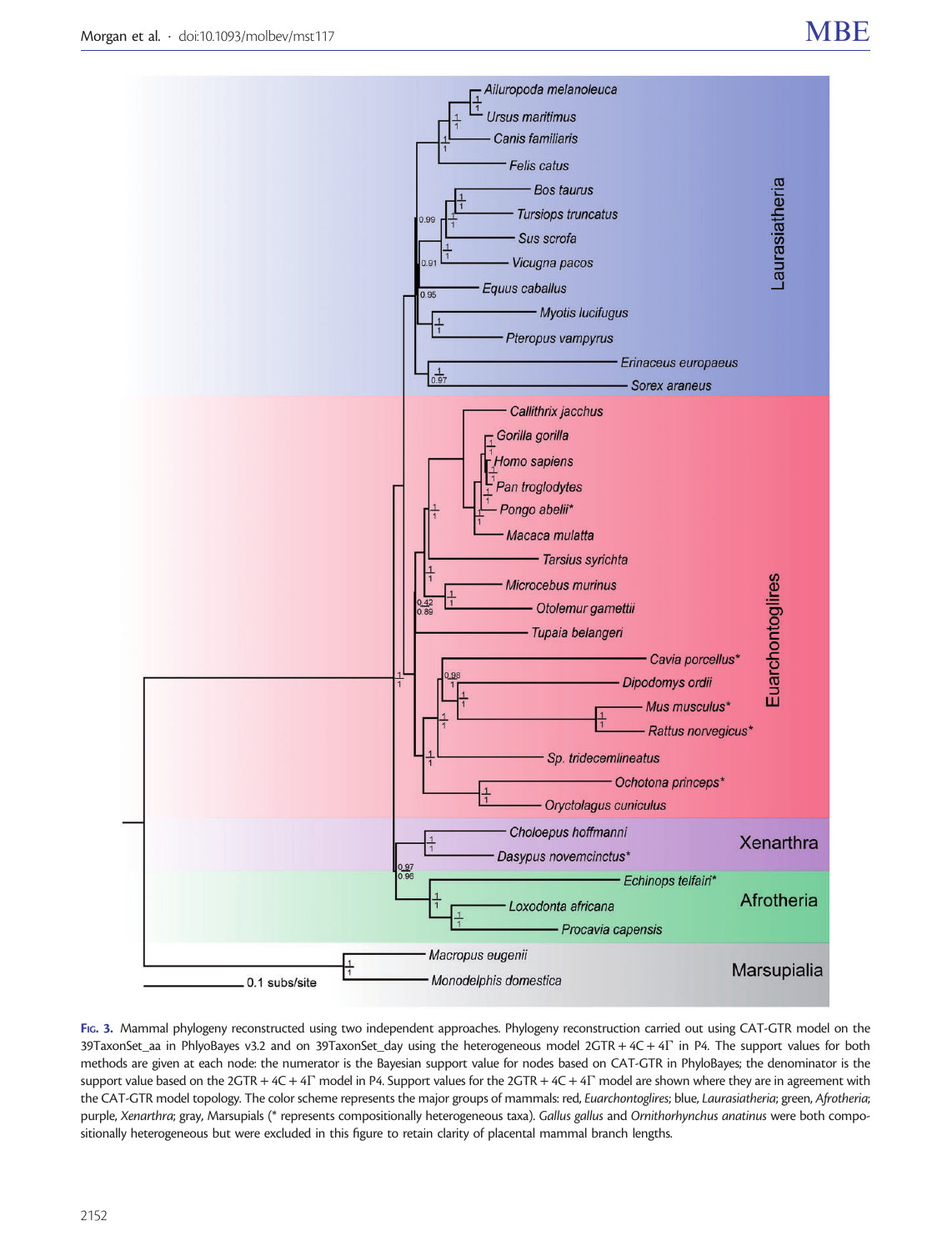<span id="page-7-0"></span>

FIG. 3. Mammal phylogeny reconstructed using two independent approaches. Phylogeny reconstruction carried out using CAT-GTR model on the 39TaxonSet\_aa in PhlyoBayes v3.2 and on 39TaxonSet\_day using the heterogeneous model 2GTR + 4C + 4 $\Gamma$  in P4. The support values for both methods are given at each node: the numerator is the Bayesian support value for nodes based on CAT-GTR in PhyloBayes; the denominator is the support value based on the 2GTR + 4C + 4 $\Gamma$  model in P4. Support values for the 2GTR + 4C + 4 $\Gamma$  model are shown where they are in agreement with the CAT-GTR model topology. The color scheme represents the major groups of mammals: red, Euarchontoglires; blue, Laurasiatheria; green, Afrotheria; purple, Xenarthra; gray, Marsupials (\* represents compositionally heterogeneous taxa). Gallus gallus and Ornithorhynchus anatinus were both compositionally heterogeneous but were excluded in this figure to retain clarity of placental mammal branch lengths.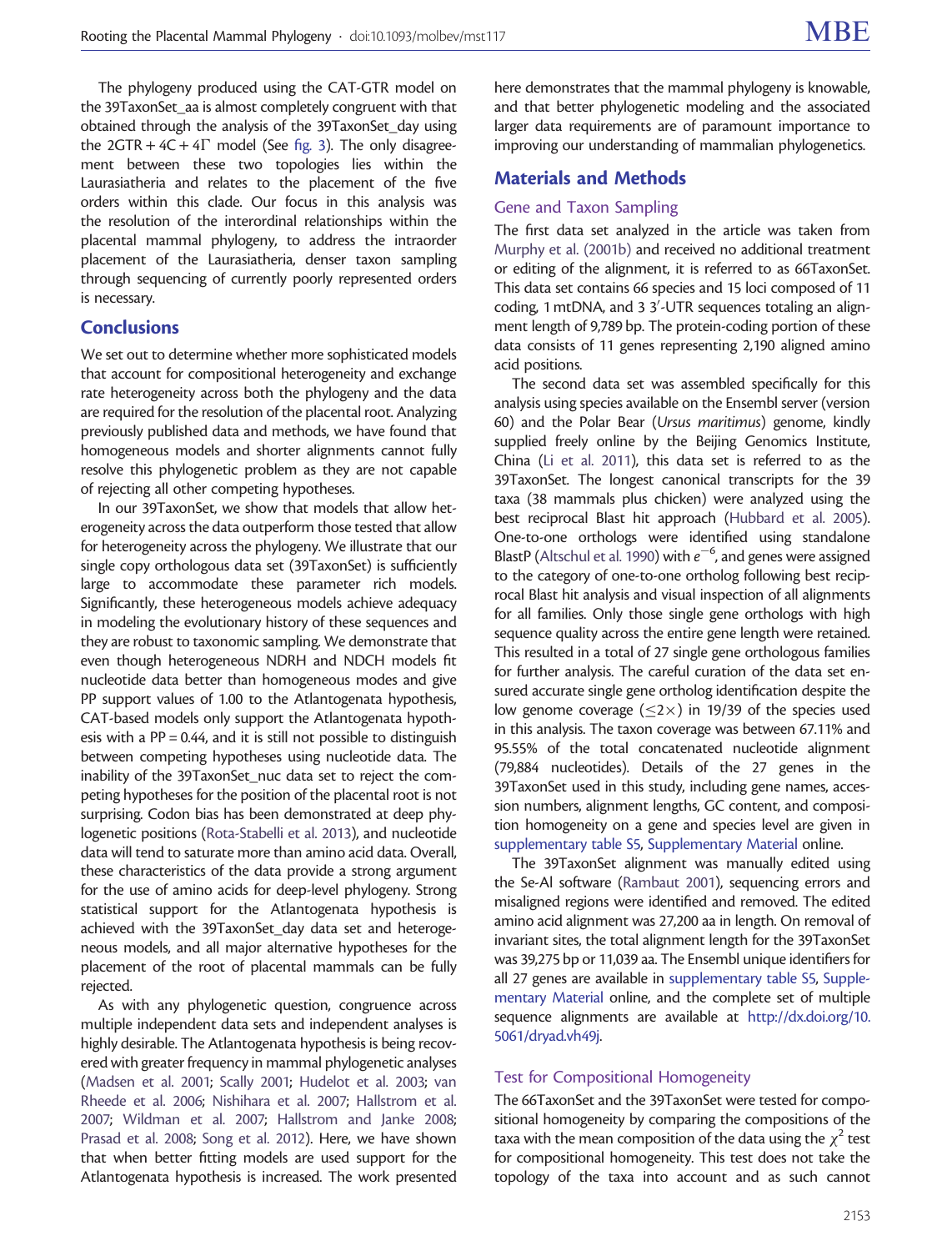The phylogeny produced using the CAT-GTR model on the 39TaxonSet\_aa is almost completely congruent with that obtained through the analysis of the 39TaxonSet\_day using the  $2GTR + 4C + 4\Gamma$  model (See [fig. 3\)](#page-7-0). The only disagreement between these two topologies lies within the Laurasiatheria and relates to the placement of the five orders within this clade. Our focus in this analysis was the resolution of the interordinal relationships within the placental mammal phylogeny, to address the intraorder placement of the Laurasiatheria, denser taxon sampling through sequencing of currently poorly represented orders is necessary.

# **Conclusions**

We set out to determine whether more sophisticated models that account for compositional heterogeneity and exchange rate heterogeneity across both the phylogeny and the data are required for the resolution of the placental root. Analyzing previously published data and methods, we have found that homogeneous models and shorter alignments cannot fully resolve this phylogenetic problem as they are not capable of rejecting all other competing hypotheses.

In our 39TaxonSet, we show that models that allow heterogeneity across the data outperform those tested that allow for heterogeneity across the phylogeny. We illustrate that our single copy orthologous data set (39TaxonSet) is sufficiently large to accommodate these parameter rich models. Significantly, these heterogeneous models achieve adequacy in modeling the evolutionary history of these sequences and they are robust to taxonomic sampling. We demonstrate that even though heterogeneous NDRH and NDCH models fit nucleotide data better than homogeneous modes and give PP support values of 1.00 to the Atlantogenata hypothesis, CAT-based models only support the Atlantogenata hypothesis with a PP = 0.44, and it is still not possible to distinguish between competing hypotheses using nucleotide data. The inability of the 39TaxonSet nuc data set to reject the competing hypotheses for the position of the placental root is not surprising. Codon bias has been demonstrated at deep phylogenetic positions [\(Rota-Stabelli et al. 2013\)](#page-11-0), and nucleotide data will tend to saturate more than amino acid data. Overall, these characteristics of the data provide a strong argument for the use of amino acids for deep-level phylogeny. Strong statistical support for the Atlantogenata hypothesis is achieved with the 39TaxonSet\_day data set and heterogeneous models, and all major alternative hypotheses for the placement of the root of placental mammals can be fully rejected.

As with any phylogenetic question, congruence across multiple independent data sets and independent analyses is highly desirable. The Atlantogenata hypothesis is being recovered with greater frequency in mammal phylogenetic analyses ([Madsen et al. 2001](#page-10-0); [Scally 2001](#page-11-0); [Hudelot et al. 2003;](#page-10-0) [van](#page-11-0) [Rheede et al. 2006;](#page-11-0) [Nishihara et al. 2007;](#page-11-0) [Hallstrom et al.](#page-10-0) [2007;](#page-10-0) [Wildman et al. 2007;](#page-11-0) [Hallstrom and Janke 2008;](#page-10-0) [Prasad et al. 2008](#page-11-0); [Song et al. 2012\)](#page-11-0). Here, we have shown that when better fitting models are used support for the Atlantogenata hypothesis is increased. The work presented

here demonstrates that the mammal phylogeny is knowable, and that better phylogenetic modeling and the associated larger data requirements are of paramount importance to improving our understanding of mammalian phylogenetics.

## Materials and Methods

### Gene and Taxon Sampling

The first data set analyzed in the article was taken from [Murphy et al. \(2001b\)](#page-10-0) and received no additional treatment or editing of the alignment, it is referred to as 66TaxonSet. This data set contains 66 species and 15 loci composed of 11 coding, 1 mtDNA, and 3 3'-UTR sequences totaling an alignment length of 9,789 bp. The protein-coding portion of these data consists of 11 genes representing 2,190 aligned amino acid positions.

The second data set was assembled specifically for this analysis using species available on the Ensembl server (version 60) and the Polar Bear (Ursus maritimus) genome, kindly supplied freely online by the Beijing Genomics Institute, China [\(Li et al. 2011\)](#page-10-0), this data set is referred to as the 39TaxonSet. The longest canonical transcripts for the 39 taxa (38 mammals plus chicken) were analyzed using the best reciprocal Blast hit approach [\(Hubbard et al. 2005\)](#page-10-0). One-to-one orthologs were identified using standalone BlastP ([Altschul et al. 1990](#page-10-0)) with  $e^{-6}$ , and genes were assigned to the category of one-to-one ortholog following best reciprocal Blast hit analysis and visual inspection of all alignments for all families. Only those single gene orthologs with high sequence quality across the entire gene length were retained. This resulted in a total of 27 single gene orthologous families for further analysis. The careful curation of the data set ensured accurate single gene ortholog identification despite the low genome coverage ( $\leq$ 2 $\times$ ) in 19/39 of the species used in this analysis. The taxon coverage was between 67.11% and 95.55% of the total concatenated nucleotide alignment (79,884 nucleotides). Details of the 27 genes in the 39TaxonSet used in this study, including gene names, accession numbers, alignment lengths, GC content, and composition homogeneity on a gene and species level are given in [supplementary table S5,](http://mbe.oxfordjournals.org/lookup/suppl/doi:10.1093/molbev/mst117/-/DC1) [Supplementary Material](http://mbe.oxfordjournals.org/lookup/suppl/doi:10.1093/molbev/mst117/-/DC1) online.

The 39TaxonSet alignment was manually edited using the Se-Al software ([Rambaut 2001](#page-11-0)), sequencing errors and misaligned regions were identified and removed. The edited amino acid alignment was 27,200 aa in length. On removal of invariant sites, the total alignment length for the 39TaxonSet was 39,275 bp or 11,039 aa. The Ensembl unique identifiers for all 27 genes are available in [supplementary table S5](http://mbe.oxfordjournals.org/lookup/suppl/doi:10.1093/molbev/mst117/-/DC1), [Supple](http://mbe.oxfordjournals.org/lookup/suppl/doi:10.1093/molbev/mst117/-/DC1)[mentary Material](http://mbe.oxfordjournals.org/lookup/suppl/doi:10.1093/molbev/mst117/-/DC1) online, and the complete set of multiple sequence alignments are available at [http://dx.doi.org/10.](http://dx.doi.org/10.5061/dryad.vh49j) [5061/dryad.vh49j](http://dx.doi.org/10.5061/dryad.vh49j).

#### Test for Compositional Homogeneity

The 66TaxonSet and the 39TaxonSet were tested for compositional homogeneity by comparing the compositions of the taxa with the mean composition of the data using the  $\chi^2$  test for compositional homogeneity. This test does not take the topology of the taxa into account and as such cannot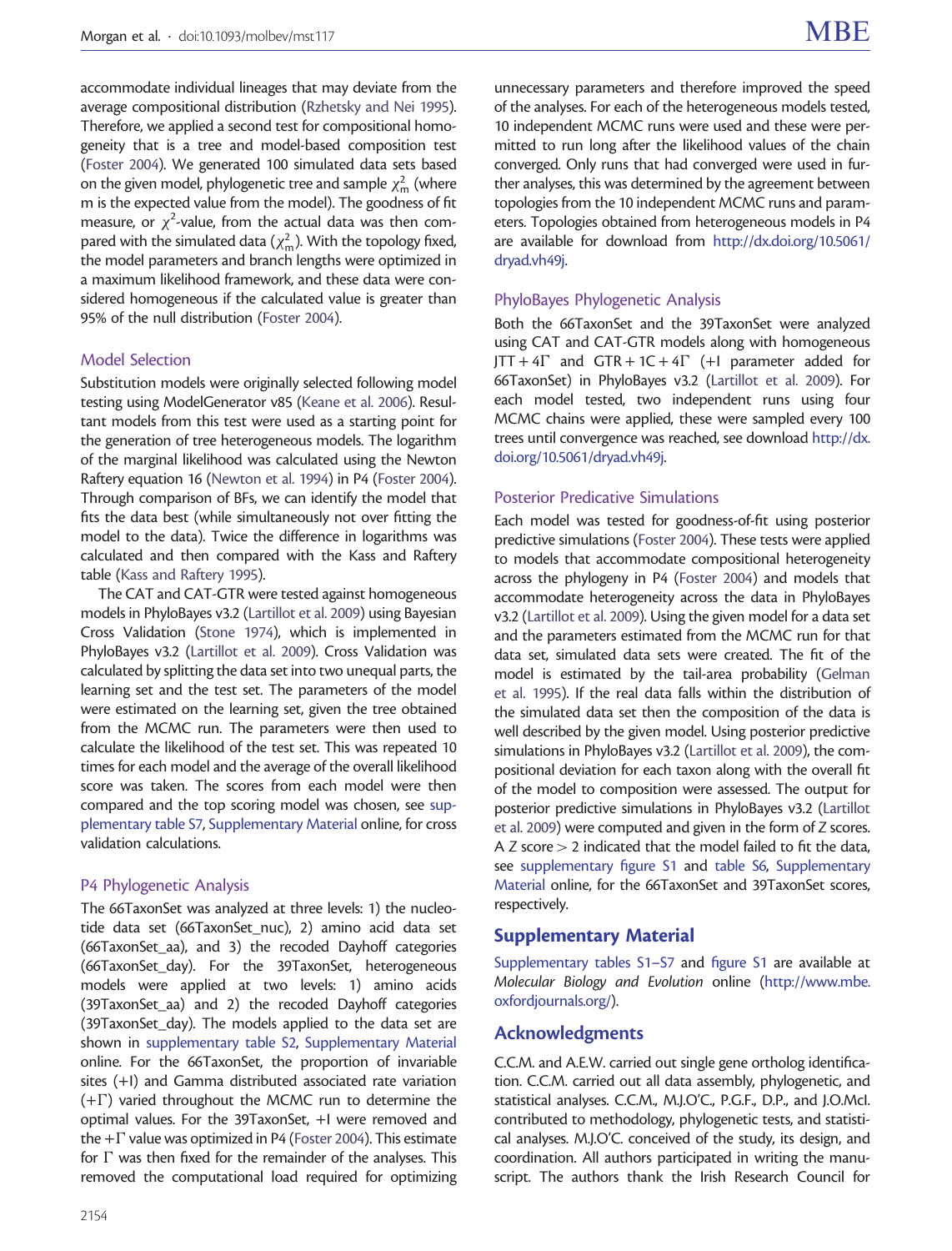accommodate individual lineages that may deviate from the average compositional distribution ([Rzhetsky and Nei 1995\)](#page-11-0). Therefore, we applied a second test for compositional homogeneity that is a tree and model-based composition test ([Foster 2004](#page-10-0)). We generated 100 simulated data sets based on the given model, phylogenetic tree and sample  $\chi^2_{\rm m}$  (where m is the expected value from the model). The goodness of fit measure, or  $\chi^2$ -value, from the actual data was then compared with the simulated data ( $\chi^2_{\rm m}$ ). With the topology fixed, the model parameters and branch lengths were optimized in a maximum likelihood framework, and these data were considered homogeneous if the calculated value is greater than 95% of the null distribution [\(Foster 2004](#page-10-0)).

#### Model Selection

Substitution models were originally selected following model testing using ModelGenerator v85 [\(Keane et al. 2006\)](#page-10-0). Resultant models from this test were used as a starting point for the generation of tree heterogeneous models. The logarithm of the marginal likelihood was calculated using the Newton Raftery equation 16 [\(Newton et al. 1994](#page-10-0)) in P4 [\(Foster 2004\)](#page-10-0). Through comparison of BFs, we can identify the model that fits the data best (while simultaneously not over fitting the model to the data). Twice the difference in logarithms was calculated and then compared with the Kass and Raftery table ([Kass and Raftery 1995](#page-10-0)).

The CAT and CAT-GTR were tested against homogeneous models in PhyloBayes v3.2 [\(Lartillot et al. 2009](#page-10-0)) using Bayesian Cross Validation [\(Stone 1974\)](#page-11-0), which is implemented in PhyloBayes v3.2 [\(Lartillot et al. 2009](#page-10-0)). Cross Validation was calculated by splitting the data set into two unequal parts, the learning set and the test set. The parameters of the model were estimated on the learning set, given the tree obtained from the MCMC run. The parameters were then used to calculate the likelihood of the test set. This was repeated 10 times for each model and the average of the overall likelihood score was taken. The scores from each model were then compared and the top scoring model was chosen, see [sup](http://mbe.oxfordjournals.org/lookup/suppl/doi:10.1093/molbev/mst117/-/DC1)[plementary table S7,](http://mbe.oxfordjournals.org/lookup/suppl/doi:10.1093/molbev/mst117/-/DC1) [Supplementary Material](http://mbe.oxfordjournals.org/lookup/suppl/doi:10.1093/molbev/mst117/-/DC1) online, for cross validation calculations.

#### P4 Phylogenetic Analysis

The 66TaxonSet was analyzed at three levels: 1) the nucleotide data set (66TaxonSet\_nuc), 2) amino acid data set (66TaxonSet\_aa), and 3) the recoded Dayhoff categories (66TaxonSet\_day). For the 39TaxonSet, heterogeneous models were applied at two levels: 1) amino acids (39TaxonSet\_aa) and 2) the recoded Dayhoff categories (39TaxonSet\_day). The models applied to the data set are shown in [supplementary table S2](http://mbe.oxfordjournals.org/lookup/suppl/doi:10.1093/molbev/mst117/-/DC1), [Supplementary Material](http://mbe.oxfordjournals.org/lookup/suppl/doi:10.1093/molbev/mst117/-/DC1) online. For the 66TaxonSet, the proportion of invariable sites (+I) and Gamma distributed associated rate variation  $(+)$  varied throughout the MCMC run to determine the optimal values. For the 39TaxonSet, +I were removed and the  $+\Gamma$  value was optimized in P4 [\(Foster 2004\)](#page-10-0). This estimate for  $\Gamma$  was then fixed for the remainder of the analyses. This removed the computational load required for optimizing

unnecessary parameters and therefore improved the speed of the analyses. For each of the heterogeneous models tested, 10 independent MCMC runs were used and these were permitted to run long after the likelihood values of the chain converged. Only runs that had converged were used in further analyses, this was determined by the agreement between topologies from the 10 independent MCMC runs and parameters. Topologies obtained from heterogeneous models in P4 are available for download from [http://dx.doi.org/10.5061/](http://dx.doi.org/10.5061/dryad.vh49j) [dryad.vh49j](http://dx.doi.org/10.5061/dryad.vh49j).

# PhyloBayes Phylogenetic Analysis

Both the 66TaxonSet and the 39TaxonSet were analyzed using CAT and CAT-GTR models along with homogeneous  $JTT + 4\Gamma$  and  $GTR + 1C + 4\Gamma$  (+I parameter added for 66TaxonSet) in PhyloBayes v3.2 ([Lartillot et al. 2009](#page-10-0)). For each model tested, two independent runs using four MCMC chains were applied, these were sampled every 100 trees until convergence was reached, see download [http://dx.](http://dx.doi.org/10.5061/dryad.vh49j) [doi.org/10.5061/dryad.vh49j](http://dx.doi.org/10.5061/dryad.vh49j).

#### Posterior Predicative Simulations

Each model was tested for goodness-of-fit using posterior predictive simulations [\(Foster 2004](#page-10-0)). These tests were applied to models that accommodate compositional heterogeneity across the phylogeny in P4 [\(Foster 2004\)](#page-10-0) and models that accommodate heterogeneity across the data in PhyloBayes v3.2 ([Lartillot et al. 2009\)](#page-10-0). Using the given model for a data set and the parameters estimated from the MCMC run for that data set, simulated data sets were created. The fit of the model is estimated by the tail-area probability ([Gelman](#page-10-0) [et al. 1995](#page-10-0)). If the real data falls within the distribution of the simulated data set then the composition of the data is well described by the given model. Using posterior predictive simulations in PhyloBayes v3.2 [\(Lartillot et al. 2009\)](#page-10-0), the compositional deviation for each taxon along with the overall fit of the model to composition were assessed. The output for posterior predictive simulations in PhyloBayes v3.2 [\(Lartillot](#page-10-0) [et al. 2009\)](#page-10-0) were computed and given in the form of Z scores. A Z score  $> 2$  indicated that the model failed to fit the data, see [supplementary figure S1](http://mbe.oxfordjournals.org/lookup/suppl/doi:10.1093/molbev/mst117/-/DC1) and [table S6](http://mbe.oxfordjournals.org/lookup/suppl/doi:10.1093/molbev/mst117/-/DC1), [Supplementary](http://mbe.oxfordjournals.org/lookup/suppl/doi:10.1093/molbev/mst117/-/DC1) [Material](http://mbe.oxfordjournals.org/lookup/suppl/doi:10.1093/molbev/mst117/-/DC1) online, for the 66TaxonSet and 39TaxonSet scores, respectively.

### Supplementary Material

[Supplementary tables S1–S7](http://mbe.oxfordjournals.org/lookup/suppl/doi:10.1093/molbev/mst117/-/DC1) and [figure S1](http://mbe.oxfordjournals.org/lookup/suppl/doi:10.1093/molbev/mst117/-/DC1) are available at Molecular Biology and Evolution online [\(http://www.mbe.](http://www.mbe.oxfordjournals.org/) [oxfordjournals.org/](http://www.mbe.oxfordjournals.org/)).

# Acknowledgments

C.C.M. and A.E.W. carried out single gene ortholog identification. C.C.M. carried out all data assembly, phylogenetic, and statistical analyses. C.C.M., M.J.O'C., P.G.F., D.P., and J.O.McI. contributed to methodology, phylogenetic tests, and statistical analyses. M.J.O'C. conceived of the study, its design, and coordination. All authors participated in writing the manuscript. The authors thank the Irish Research Council for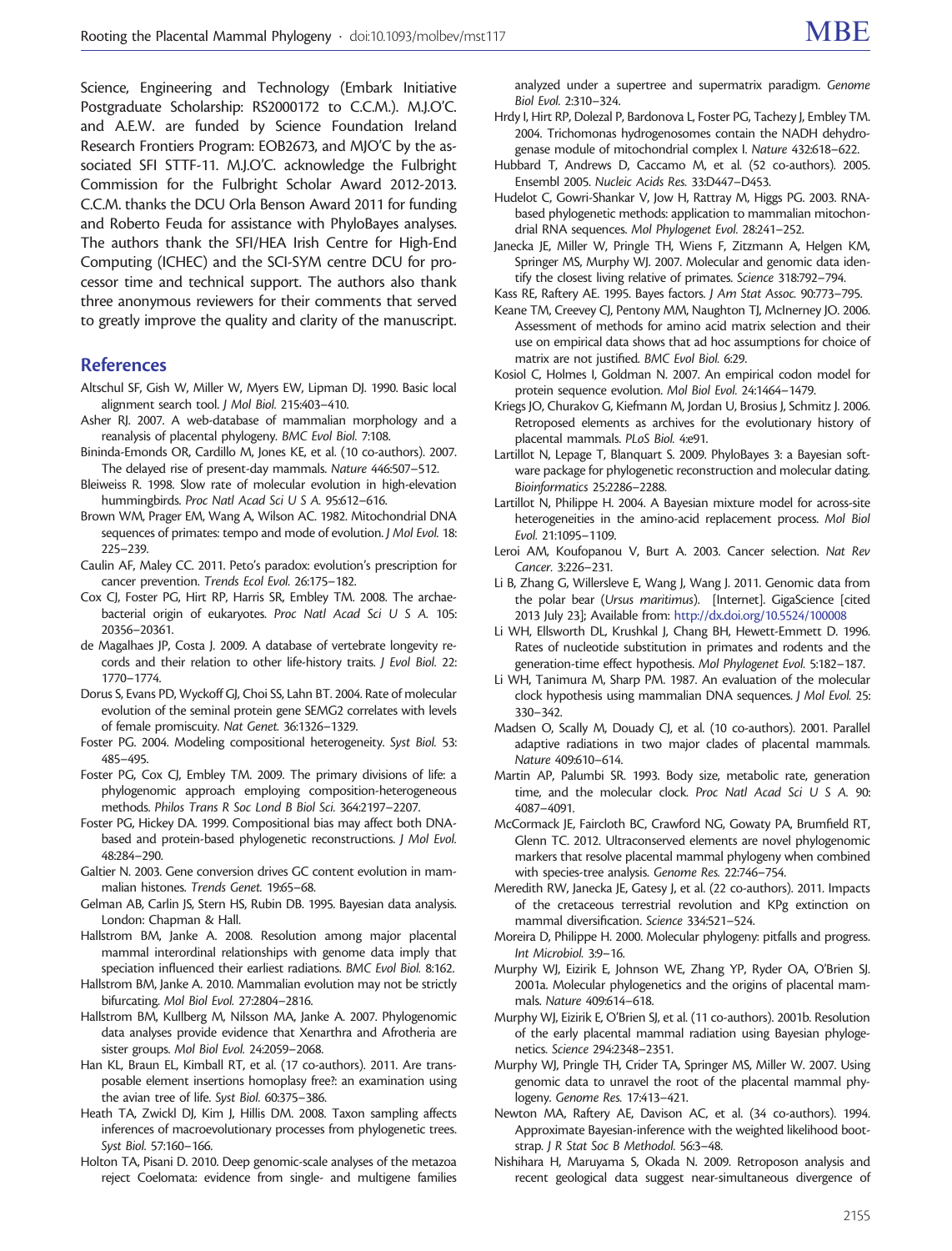<span id="page-10-0"></span>Science, Engineering and Technology (Embark Initiative Postgraduate Scholarship: RS2000172 to C.C.M.). M.J.O'C. and A.E.W. are funded by Science Foundation Ireland Research Frontiers Program: EOB2673, and MJO'C by the associated SFI STTF-11. M.J.O'C. acknowledge the Fulbright Commission for the Fulbright Scholar Award 2012-2013. C.C.M. thanks the DCU Orla Benson Award 2011 for funding and Roberto Feuda for assistance with PhyloBayes analyses. The authors thank the SFI/HEA Irish Centre for High-End Computing (ICHEC) and the SCI-SYM centre DCU for processor time and technical support. The authors also thank three anonymous reviewers for their comments that served to greatly improve the quality and clarity of the manuscript.

#### References

- Altschul SF, Gish W, Miller W, Myers EW, Lipman DJ. 1990. Basic local alignment search tool. J Mol Biol. 215:403–410.
- Asher RJ. 2007. A web-database of mammalian morphology and a reanalysis of placental phylogeny. BMC Evol Biol. 7:108.
- Bininda-Emonds OR, Cardillo M, Jones KE, et al. (10 co-authors). 2007. The delayed rise of present-day mammals. Nature 446:507–512.
- Bleiweiss R. 1998. Slow rate of molecular evolution in high-elevation hummingbirds. Proc Natl Acad Sci U S A. 95:612–616.
- Brown WM, Prager EM, Wang A, Wilson AC. 1982. Mitochondrial DNA sequences of primates: tempo and mode of evolution. J Mol Evol. 18: 225–239.
- Caulin AF, Maley CC. 2011. Peto's paradox: evolution's prescription for cancer prevention. Trends Ecol Evol. 26:175–182.
- Cox CJ, Foster PG, Hirt RP, Harris SR, Embley TM. 2008. The archaebacterial origin of eukaryotes. Proc Natl Acad Sci U S A. 105: 20356–20361.
- de Magalhaes JP, Costa J. 2009. A database of vertebrate longevity records and their relation to other life-history traits. J Evol Biol. 22: 1770–1774.
- Dorus S, Evans PD, Wyckoff GJ, Choi SS, Lahn BT. 2004. Rate of molecular evolution of the seminal protein gene SEMG2 correlates with levels of female promiscuity. Nat Genet. 36:1326–1329.
- Foster PG. 2004. Modeling compositional heterogeneity. Syst Biol. 53: 485–495.
- Foster PG, Cox CJ, Embley TM. 2009. The primary divisions of life: a phylogenomic approach employing composition-heterogeneous methods. Philos Trans R Soc Lond B Biol Sci. 364:2197–2207.
- Foster PG, Hickey DA. 1999. Compositional bias may affect both DNAbased and protein-based phylogenetic reconstructions. J Mol Evol. 48:284–290.
- Galtier N. 2003. Gene conversion drives GC content evolution in mammalian histones. Trends Genet. 19:65–68.
- Gelman AB, Carlin JS, Stern HS, Rubin DB. 1995. Bayesian data analysis. London: Chapman & Hall.
- Hallstrom BM, Janke A. 2008. Resolution among major placental mammal interordinal relationships with genome data imply that speciation influenced their earliest radiations. BMC Evol Biol. 8:162.
- Hallstrom BM, Janke A. 2010. Mammalian evolution may not be strictly bifurcating. Mol Biol Evol. 27:2804–2816.
- Hallstrom BM, Kullberg M, Nilsson MA, Janke A. 2007. Phylogenomic data analyses provide evidence that Xenarthra and Afrotheria are sister groups. Mol Biol Evol. 24:2059–2068.
- Han KL, Braun EL, Kimball RT, et al. (17 co-authors). 2011. Are transposable element insertions homoplasy free?: an examination using the avian tree of life. Syst Biol. 60:375–386.
- Heath TA, Zwickl DJ, Kim J, Hillis DM. 2008. Taxon sampling affects inferences of macroevolutionary processes from phylogenetic trees. Syst Biol. 57:160–166.
- Holton TA, Pisani D. 2010. Deep genomic-scale analyses of the metazoa reject Coelomata: evidence from single- and multigene families

analyzed under a supertree and supermatrix paradigm. Genome Biol Evol. 2:310–324.

- Hrdy I, Hirt RP, Dolezal P, Bardonova L, Foster PG, Tachezy J, Embley TM. 2004. Trichomonas hydrogenosomes contain the NADH dehydrogenase module of mitochondrial complex I. Nature 432:618–622.
- Hubbard T, Andrews D, Caccamo M, et al. (52 co-authors). 2005. Ensembl 2005. Nucleic Acids Res. 33:D447–D453.
- Hudelot C, Gowri-Shankar V, Jow H, Rattray M, Higgs PG. 2003. RNAbased phylogenetic methods: application to mammalian mitochondrial RNA sequences. Mol Phylogenet Evol. 28:241–252.
- Janecka JE, Miller W, Pringle TH, Wiens F, Zitzmann A, Helgen KM, Springer MS, Murphy WJ. 2007. Molecular and genomic data identify the closest living relative of primates. Science 318:792–794.
- Kass RE, Raftery AE. 1995. Bayes factors. J Am Stat Assoc. 90:773–795.
- Keane TM, Creevey CJ, Pentony MM, Naughton TJ, McInerney JO. 2006. Assessment of methods for amino acid matrix selection and their use on empirical data shows that ad hoc assumptions for choice of matrix are not justified. BMC Evol Biol. 6:29.
- Kosiol C, Holmes I, Goldman N. 2007. An empirical codon model for protein sequence evolution. Mol Biol Evol. 24:1464–1479.
- Kriegs JO, Churakov G, Kiefmann M, Jordan U, Brosius J, Schmitz J. 2006. Retroposed elements as archives for the evolutionary history of placental mammals. PLoS Biol. 4:e91.
- Lartillot N, Lepage T, Blanquart S. 2009. PhyloBayes 3: a Bayesian software package for phylogenetic reconstruction and molecular dating. Bioinformatics 25:2286–2288.
- Lartillot N, Philippe H. 2004. A Bayesian mixture model for across-site heterogeneities in the amino-acid replacement process. Mol Biol Evol. 21:1095–1109.
- Leroi AM, Koufopanou V, Burt A. 2003. Cancer selection. Nat Rev Cancer. 3:226–231.
- Li B, Zhang G, Willersleve E, Wang J, Wang J. 2011. Genomic data from the polar bear (Ursus maritimus). [Internet]. GigaScience [cited 2013 July 23]; Available from: <http://dx.doi.org/10.5524/100008>
- Li WH, Ellsworth DL, Krushkal J, Chang BH, Hewett-Emmett D. 1996. Rates of nucleotide substitution in primates and rodents and the generation-time effect hypothesis. Mol Phylogenet Evol. 5:182–187.
- Li WH, Tanimura M, Sharp PM. 1987. An evaluation of the molecular clock hypothesis using mammalian DNA sequences. J Mol Evol. 25: 330–342.
- Madsen O, Scally M, Douady CJ, et al. (10 co-authors). 2001. Parallel adaptive radiations in two major clades of placental mammals. Nature 409:610–614.
- Martin AP, Palumbi SR. 1993. Body size, metabolic rate, generation time, and the molecular clock. Proc Natl Acad Sci U S A. 90: 4087–4091.
- McCormack JE, Faircloth BC, Crawford NG, Gowaty PA, Brumfield RT, Glenn TC. 2012. Ultraconserved elements are novel phylogenomic markers that resolve placental mammal phylogeny when combined with species-tree analysis. Genome Res. 22:746–754.
- Meredith RW, Janecka JE, Gatesy J, et al. (22 co-authors). 2011. Impacts of the cretaceous terrestrial revolution and KPg extinction on mammal diversification. Science 334:521–524.
- Moreira D, Philippe H. 2000. Molecular phylogeny: pitfalls and progress. Int Microbiol. 3:9–16.
- Murphy WJ, Eizirik E, Johnson WE, Zhang YP, Ryder OA, O'Brien SJ. 2001a. Molecular phylogenetics and the origins of placental mammals. Nature 409:614–618.
- Murphy WJ, Eizirik E, O'Brien SJ, et al. (11 co-authors). 2001b. Resolution of the early placental mammal radiation using Bayesian phylogenetics. Science 294:2348–2351.
- Murphy WJ, Pringle TH, Crider TA, Springer MS, Miller W. 2007. Using genomic data to unravel the root of the placental mammal phylogeny. Genome Res. 17:413–421.
- Newton MA, Raftery AE, Davison AC, et al. (34 co-authors). 1994. Approximate Bayesian-inference with the weighted likelihood bootstrap. J R Stat Soc B Methodol. 56:3–48.
- Nishihara H, Maruyama S, Okada N. 2009. Retroposon analysis and recent geological data suggest near-simultaneous divergence of